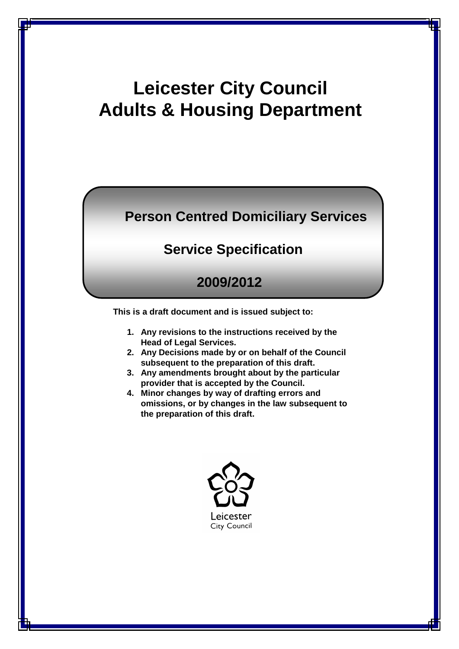# **Leicester City Council Adults & Housing Department**

## **Person Centred Domiciliary Services**

## **Service Specification**

## **2009/2012**

**This is a draft document and is issued subject to:**

- **1. Any revisions to the instructions received by the Head of Legal Services.**
- **2. Any Decisions made by or on behalf of the Council subsequent to the preparation of this draft.**
- **3. Any amendments brought about by the particular provider that is accepted by the Council.**
- **4. Minor changes by way of drafting errors and omissions, or by changes in the law subsequent to the preparation of this draft.**

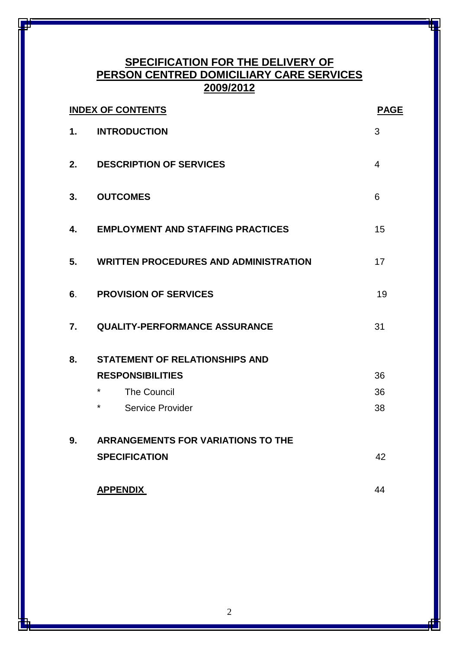## **SPECIFICATION FOR THE DELIVERY OF PERSON CENTRED DOMICILIARY CARE SERVICES 2009/2012**

|    | <b>INDEX OF CONTENTS</b>                     | <b>PAGE</b>    |  |
|----|----------------------------------------------|----------------|--|
| 1. | <b>INTRODUCTION</b>                          | 3              |  |
| 2. | <b>DESCRIPTION OF SERVICES</b>               | $\overline{4}$ |  |
| 3. | <b>OUTCOMES</b>                              | 6              |  |
| 4. | <b>EMPLOYMENT AND STAFFING PRACTICES</b>     | 15             |  |
| 5. | <b>WRITTEN PROCEDURES AND ADMINISTRATION</b> | 17             |  |
| 6. | <b>PROVISION OF SERVICES</b>                 | 19             |  |
| 7. | <b>QUALITY-PERFORMANCE ASSURANCE</b>         | 31             |  |
| 8. | <b>STATEMENT OF RELATIONSHIPS AND</b>        |                |  |
|    | <b>RESPONSIBILITIES</b>                      | 36             |  |
|    | $\star$<br><b>The Council</b>                | 36             |  |
|    | $^\star$<br>Service Provider                 | 38             |  |
| 9. | <b>ARRANGEMENTS FOR VARIATIONS TO THE</b>    |                |  |
|    | <b>SPECIFICATION</b>                         | 42             |  |
|    | <b>APPENDIX</b>                              | 44             |  |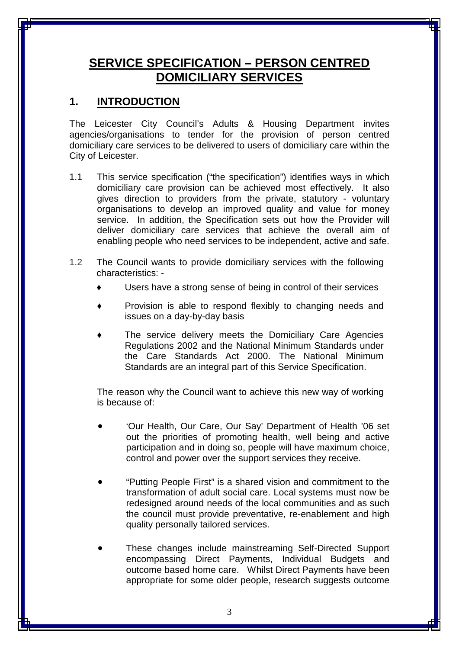## **SERVICE SPECIFICATION – PERSON CENTRED DOMICILIARY SERVICES**

### **1. INTRODUCTION**

The Leicester City Council's Adults & Housing Department invites agencies/organisations to tender for the provision of person centred domiciliary care services to be delivered to users of domiciliary care within the City of Leicester.

- 1.1 This service specification ("the specification") identifies ways in which domiciliary care provision can be achieved most effectively. It also gives direction to providers from the private, statutory - voluntary organisations to develop an improved quality and value for money service. In addition, the Specification sets out how the Provider will deliver domiciliary care services that achieve the overall aim of enabling people who need services to be independent, active and safe.
- 1.2 The Council wants to provide domiciliary services with the following characteristics: -
	- Users have a strong sense of being in control of their services
	- Provision is able to respond flexibly to changing needs and issues on a day-by-day basis
	- The service delivery meets the Domiciliary Care Agencies Regulations 2002 and the National Minimum Standards under the Care Standards Act 2000. The National Minimum Standards are an integral part of this Service Specification.

The reason why the Council want to achieve this new way of working is because of:

- 'Our Health, Our Care, Our Say' Department of Health '06 set out the priorities of promoting health, well being and active participation and in doing so, people will have maximum choice, control and power over the support services they receive.
- "Putting People First" is a shared vision and commitment to the transformation of adult social care. Local systems must now be redesigned around needs of the local communities and as such the council must provide preventative, re-enablement and high quality personally tailored services.
- These changes include mainstreaming Self-Directed Support encompassing Direct Payments, Individual Budgets and outcome based home care. Whilst Direct Payments have been appropriate for some older people, research suggests outcome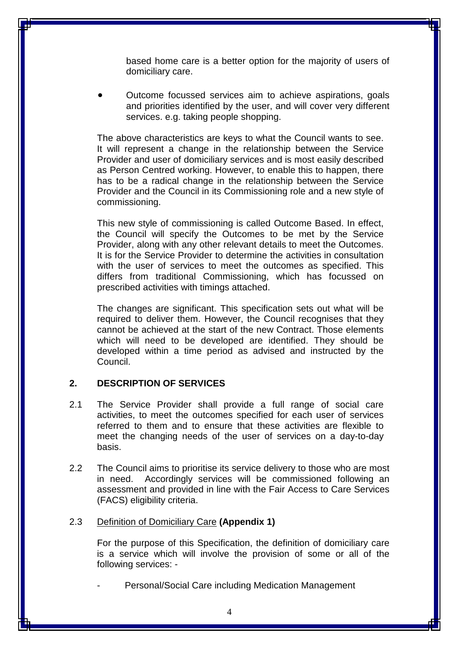based home care is a better option for the majority of users of domiciliary care.

• Outcome focussed services aim to achieve aspirations, goals and priorities identified by the user, and will cover very different services. e.g. taking people shopping.

The above characteristics are keys to what the Council wants to see. It will represent a change in the relationship between the Service Provider and user of domiciliary services and is most easily described as Person Centred working. However, to enable this to happen, there has to be a radical change in the relationship between the Service Provider and the Council in its Commissioning role and a new style of commissioning.

This new style of commissioning is called Outcome Based. In effect, the Council will specify the Outcomes to be met by the Service Provider, along with any other relevant details to meet the Outcomes. It is for the Service Provider to determine the activities in consultation with the user of services to meet the outcomes as specified. This differs from traditional Commissioning, which has focussed on prescribed activities with timings attached.

The changes are significant. This specification sets out what will be required to deliver them. However, the Council recognises that they cannot be achieved at the start of the new Contract. Those elements which will need to be developed are identified. They should be developed within a time period as advised and instructed by the Council.

#### **2. DESCRIPTION OF SERVICES**

- 2.1 The Service Provider shall provide a full range of social care activities, to meet the outcomes specified for each user of services referred to them and to ensure that these activities are flexible to meet the changing needs of the user of services on a day-to-day basis.
- 2.2 The Council aims to prioritise its service delivery to those who are most in need. Accordingly services will be commissioned following an assessment and provided in line with the Fair Access to Care Services (FACS) eligibility criteria.

#### 2.3 Definition of Domiciliary Care **(Appendix 1)**

For the purpose of this Specification, the definition of domiciliary care is a service which will involve the provision of some or all of the following services: -

Personal/Social Care including Medication Management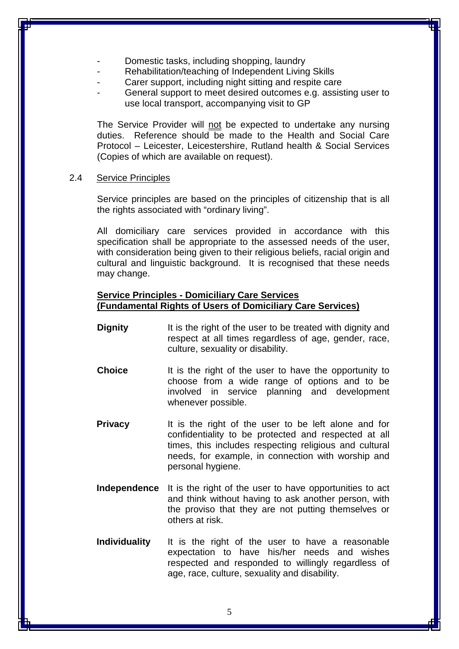- Domestic tasks, including shopping, laundry
- Rehabilitation/teaching of Independent Living Skills
- Carer support, including night sitting and respite care
- General support to meet desired outcomes e.g. assisting user to use local transport, accompanying visit to GP

The Service Provider will not be expected to undertake any nursing duties. Reference should be made to the Health and Social Care Protocol – Leicester, Leicestershire, Rutland health & Social Services (Copies of which are available on request).

#### 2.4 Service Principles

Service principles are based on the principles of citizenship that is all the rights associated with "ordinary living".

All domiciliary care services provided in accordance with this specification shall be appropriate to the assessed needs of the user, with consideration being given to their religious beliefs, racial origin and cultural and linguistic background. It is recognised that these needs may change.

#### **Service Principles - Domiciliary Care Services (Fundamental Rights of Users of Domiciliary Care Services)**

- **Dignity** It is the right of the user to be treated with dignity and respect at all times regardless of age, gender, race, culture, sexuality or disability.
- **Choice** It is the right of the user to have the opportunity to choose from a wide range of options and to be involved in service planning and development whenever possible.
- **Privacy** It is the right of the user to be left alone and for confidentiality to be protected and respected at all times, this includes respecting religious and cultural needs, for example, in connection with worship and personal hygiene.
- **Independence** It is the right of the user to have opportunities to act and think without having to ask another person, with the proviso that they are not putting themselves or others at risk.
- **Individuality** It is the right of the user to have a reasonable expectation to have his/her needs and wishes respected and responded to willingly regardless of age, race, culture, sexuality and disability.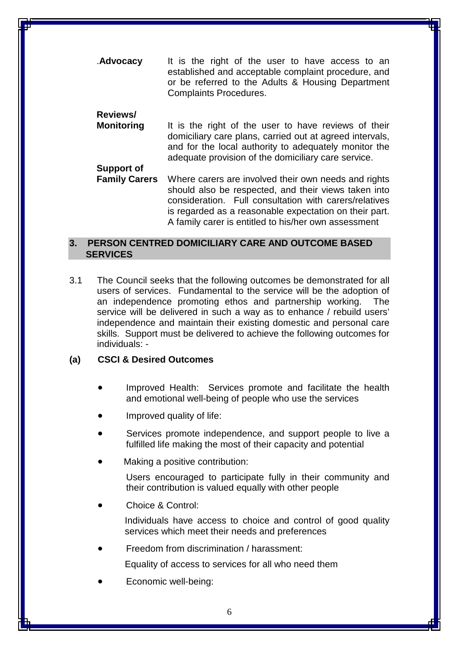.**Advocacy** It is the right of the user to have access to an established and acceptable complaint procedure, and or be referred to the Adults & Housing Department Complaints Procedures.

### **Reviews/**

- **Monitoring** It is the right of the user to have reviews of their domiciliary care plans, carried out at agreed intervals, and for the local authority to adequately monitor the adequate provision of the domiciliary care service. **Support of**
- **Family Carers** Where carers are involved their own needs and rights should also be respected, and their views taken into consideration. Full consultation with carers/relatives is regarded as a reasonable expectation on their part. A family carer is entitled to his/her own assessment

#### **3. PERSON CENTRED DOMICILIARY CARE AND OUTCOME BASED SERVICES**

3.1 The Council seeks that the following outcomes be demonstrated for all users of services. Fundamental to the service will be the adoption of an independence promoting ethos and partnership working. The service will be delivered in such a way as to enhance / rebuild users' independence and maintain their existing domestic and personal care skills. Support must be delivered to achieve the following outcomes for individuals: -

#### **(a) CSCI & Desired Outcomes**

- Improved Health: Services promote and facilitate the health and emotional well-being of people who use the services
- Improved quality of life:
- Services promote independence, and support people to live a fulfilled life making the most of their capacity and potential
- Making a positive contribution:

Users encouraged to participate fully in their community and their contribution is valued equally with other people

Choice & Control:

Individuals have access to choice and control of good quality services which meet their needs and preferences

• Freedom from discrimination / harassment:

Equality of access to services for all who need them

• Economic well-being: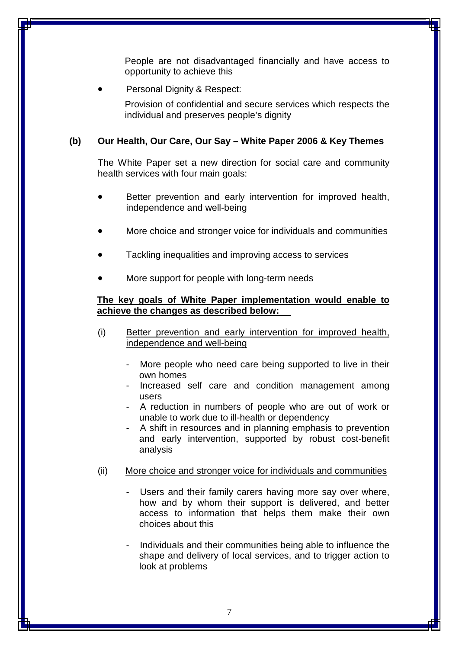People are not disadvantaged financially and have access to opportunity to achieve this

Personal Dignity & Respect:

Provision of confidential and secure services which respects the individual and preserves people's dignity

#### **(b) Our Health, Our Care, Our Say – White Paper 2006 & Key Themes**

The White Paper set a new direction for social care and community health services with four main goals:

- Better prevention and early intervention for improved health, independence and well-being
- More choice and stronger voice for individuals and communities
- Tackling inequalities and improving access to services
- More support for people with long-term needs

#### **The key goals of White Paper implementation would enable to achieve the changes as described below:**

- (i) Better prevention and early intervention for improved health, independence and well-being
	- More people who need care being supported to live in their own homes
	- Increased self care and condition management among users
	- A reduction in numbers of people who are out of work or unable to work due to ill-health or dependency
	- A shift in resources and in planning emphasis to prevention and early intervention, supported by robust cost-benefit analysis
- (ii) More choice and stronger voice for individuals and communities
	- Users and their family carers having more say over where, how and by whom their support is delivered, and better access to information that helps them make their own choices about this
	- Individuals and their communities being able to influence the shape and delivery of local services, and to trigger action to look at problems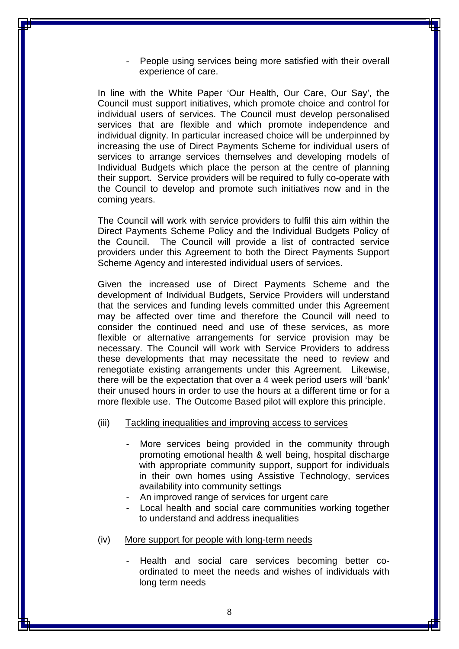People using services being more satisfied with their overall experience of care.

In line with the White Paper 'Our Health, Our Care, Our Say', the Council must support initiatives, which promote choice and control for individual users of services. The Council must develop personalised services that are flexible and which promote independence and individual dignity. In particular increased choice will be underpinned by increasing the use of Direct Payments Scheme for individual users of services to arrange services themselves and developing models of Individual Budgets which place the person at the centre of planning their support. Service providers will be required to fully co-operate with the Council to develop and promote such initiatives now and in the coming years.

The Council will work with service providers to fulfil this aim within the Direct Payments Scheme Policy and the Individual Budgets Policy of the Council. The Council will provide a list of contracted service providers under this Agreement to both the Direct Payments Support Scheme Agency and interested individual users of services.

Given the increased use of Direct Payments Scheme and the development of Individual Budgets, Service Providers will understand that the services and funding levels committed under this Agreement may be affected over time and therefore the Council will need to consider the continued need and use of these services, as more flexible or alternative arrangements for service provision may be necessary. The Council will work with Service Providers to address these developments that may necessitate the need to review and renegotiate existing arrangements under this Agreement. Likewise, there will be the expectation that over a 4 week period users will 'bank' their unused hours in order to use the hours at a different time or for a more flexible use. The Outcome Based pilot will explore this principle.

- (iii) Tackling inequalities and improving access to services
	- More services being provided in the community through promoting emotional health & well being, hospital discharge with appropriate community support, support for individuals in their own homes using Assistive Technology, services availability into community settings
	- An improved range of services for urgent care
	- Local health and social care communities working together to understand and address inequalities
- (iv) More support for people with long-term needs
	- Health and social care services becoming better coordinated to meet the needs and wishes of individuals with long term needs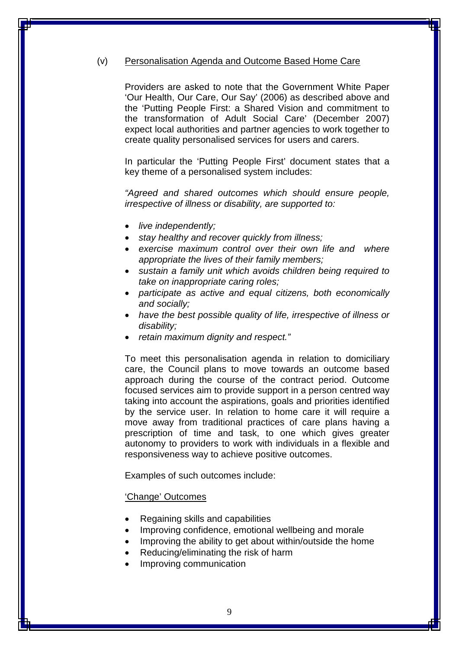#### (v) Personalisation Agenda and Outcome Based Home Care

Providers are asked to note that the Government White Paper 'Our Health, Our Care, Our Say' (2006) as described above and the 'Putting People First: a Shared Vision and commitment to the transformation of Adult Social Care' (December 2007) expect local authorities and partner agencies to work together to create quality personalised services for users and carers.

In particular the 'Putting People First' document states that a key theme of a personalised system includes:

*"Agreed and shared outcomes which should ensure people, irrespective of illness or disability, are supported to:*

- *live independently;*
- *stay healthy and recover quickly from illness;*
- *exercise maximum control over their own life and where appropriate the lives of their family members;*
- *sustain a family unit which avoids children being required to take on inappropriate caring roles;*
- *participate as active and equal citizens, both economically and socially;*
- *have the best possible quality of life, irrespective of illness or disability;*
- *retain maximum dignity and respect."*

To meet this personalisation agenda in relation to domiciliary care, the Council plans to move towards an outcome based approach during the course of the contract period. Outcome focused services aim to provide support in a person centred way taking into account the aspirations, goals and priorities identified by the service user. In relation to home care it will require a move away from traditional practices of care plans having a prescription of time and task, to one which gives greater autonomy to providers to work with individuals in a flexible and responsiveness way to achieve positive outcomes.

Examples of such outcomes include:

#### 'Change' Outcomes

- Regaining skills and capabilities
- Improving confidence, emotional wellbeing and morale
- Improving the ability to get about within/outside the home
- Reducing/eliminating the risk of harm
- Improving communication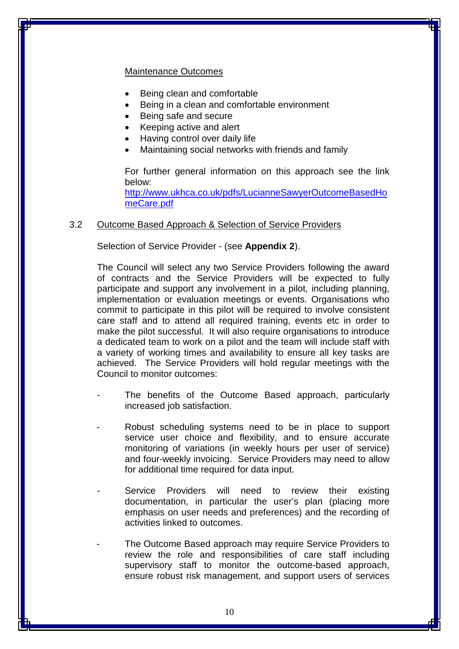#### Maintenance Outcomes

- Being clean and comfortable
- Being in a clean and comfortable environment
- Being safe and secure
- Keeping active and alert
- Having control over daily life
- Maintaining social networks with friends and family

For further general information on this approach see the link below:

[http://www.ukhca.co.uk/pdfs/LucianneSawyerOutcomeBasedHo](http://www.ukhca.co.uk/pdfs/LucianneSawyerOutcomeBasedHomeCare.pdf) [meCare.pdf](http://www.ukhca.co.uk/pdfs/LucianneSawyerOutcomeBasedHomeCare.pdf)

#### 3.2 Outcome Based Approach & Selection of Service Providers

Selection of Service Provider - (see **Appendix 2**).

The Council will select any two Service Providers following the award of contracts and the Service Providers will be expected to fully participate and support any involvement in a pilot, including planning, implementation or evaluation meetings or events. Organisations who commit to participate in this pilot will be required to involve consistent care staff and to attend all required training, events etc in order to make the pilot successful. It will also require organisations to introduce a dedicated team to work on a pilot and the team will include staff with a variety of working times and availability to ensure all key tasks are achieved. The Service Providers will hold regular meetings with the Council to monitor outcomes:

- The benefits of the Outcome Based approach, particularly increased job satisfaction.
- Robust scheduling systems need to be in place to support service user choice and flexibility, and to ensure accurate monitoring of variations (in weekly hours per user of service) and four-weekly invoicing. Service Providers may need to allow for additional time required for data input.
- Service Providers will need to review their existing documentation, in particular the user's plan (placing more emphasis on user needs and preferences) and the recording of activities linked to outcomes.
- The Outcome Based approach may require Service Providers to review the role and responsibilities of care staff including supervisory staff to monitor the outcome-based approach, ensure robust risk management, and support users of services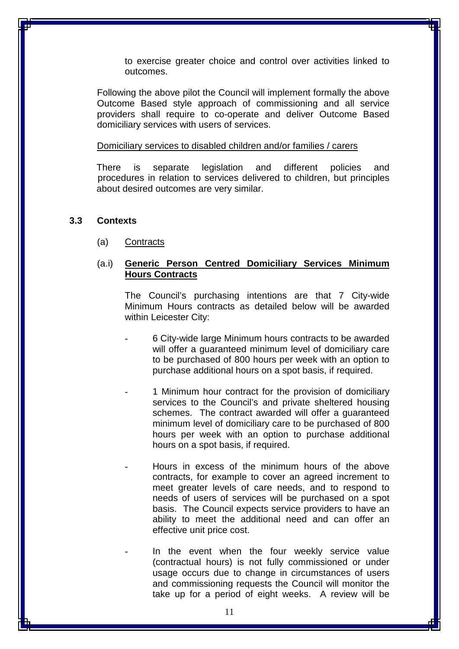to exercise greater choice and control over activities linked to outcomes.

Following the above pilot the Council will implement formally the above Outcome Based style approach of commissioning and all service providers shall require to co-operate and deliver Outcome Based domiciliary services with users of services.

#### Domiciliary services to disabled children and/or families / carers

There is separate legislation and different policies and procedures in relation to services delivered to children, but principles about desired outcomes are very similar.

#### **3.3 Contexts**

(a) Contracts

#### (a.i) **Generic Person Centred Domiciliary Services Minimum Hours Contracts**

The Council's purchasing intentions are that 7 City-wide Minimum Hours contracts as detailed below will be awarded within Leicester City:

- 6 City-wide large Minimum hours contracts to be awarded will offer a guaranteed minimum level of domiciliary care to be purchased of 800 hours per week with an option to purchase additional hours on a spot basis, if required.
- 1 Minimum hour contract for the provision of domiciliary services to the Council's and private sheltered housing schemes. The contract awarded will offer a guaranteed minimum level of domiciliary care to be purchased of 800 hours per week with an option to purchase additional hours on a spot basis, if required.
- Hours in excess of the minimum hours of the above contracts, for example to cover an agreed increment to meet greater levels of care needs, and to respond to needs of users of services will be purchased on a spot basis. The Council expects service providers to have an ability to meet the additional need and can offer an effective unit price cost.

In the event when the four weekly service value (contractual hours) is not fully commissioned or under usage occurs due to change in circumstances of users and commissioning requests the Council will monitor the take up for a period of eight weeks. A review will be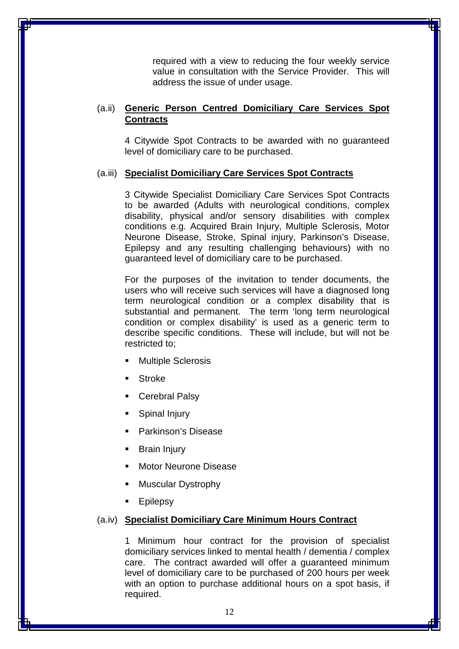required with a view to reducing the four weekly service value in consultation with the Service Provider. This will address the issue of under usage.

#### (a.ii) **Generic Person Centred Domiciliary Care Services Spot Contracts**

4 Citywide Spot Contracts to be awarded with no guaranteed level of domiciliary care to be purchased.

#### (a.iii) **Specialist Domiciliary Care Services Spot Contracts**

3 Citywide Specialist Domiciliary Care Services Spot Contracts to be awarded (Adults with neurological conditions, complex disability, physical and/or sensory disabilities with complex conditions e.g. Acquired Brain Injury, Multiple Sclerosis, Motor Neurone Disease, Stroke, Spinal injury, Parkinson's Disease, Epilepsy and any resulting challenging behaviours) with no guaranteed level of domiciliary care to be purchased.

For the purposes of the invitation to tender documents, the users who will receive such services will have a diagnosed long term neurological condition or a complex disability that is substantial and permanent. The term 'long term neurological condition or complex disability' is used as a generic term to describe specific conditions. These will include, but will not be restricted to;

- Multiple Sclerosis
- **Stroke**
- Cerebral Palsy
- Spinal Injury
- Parkinson's Disease
- Brain Injury
- Motor Neurone Disease
- Muscular Dystrophy
- Epilepsy

#### (a.iv) **Specialist Domiciliary Care Minimum Hours Contract**

1 Minimum hour contract for the provision of specialist domiciliary services linked to mental health / dementia / complex care. The contract awarded will offer a guaranteed minimum level of domiciliary care to be purchased of 200 hours per week with an option to purchase additional hours on a spot basis, if required.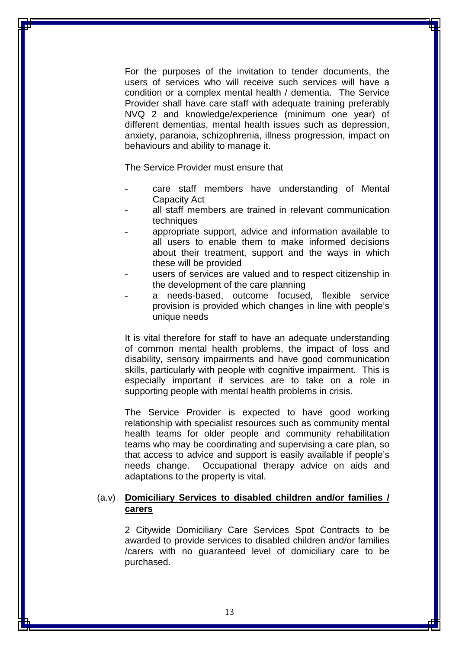For the purposes of the invitation to tender documents, the users of services who will receive such services will have a condition or a complex mental health / dementia. The Service Provider shall have care staff with adequate training preferably NVQ 2 and knowledge/experience (minimum one year) of different dementias, mental health issues such as depression, anxiety, paranoia, schizophrenia, illness progression, impact on behaviours and ability to manage it.

The Service Provider must ensure that

- care staff members have understanding of Mental Capacity Act
- all staff members are trained in relevant communication techniques
- appropriate support, advice and information available to all users to enable them to make informed decisions about their treatment, support and the ways in which these will be provided
- users of services are valued and to respect citizenship in the development of the care planning
- a needs-based, outcome focused, flexible service provision is provided which changes in line with people's unique needs

It is vital therefore for staff to have an adequate understanding of common mental health problems, the impact of loss and disability, sensory impairments and have good communication skills, particularly with people with cognitive impairment. This is especially important if services are to take on a role in supporting people with mental health problems in crisis.

The Service Provider is expected to have good working relationship with specialist resources such as community mental health teams for older people and community rehabilitation teams who may be coordinating and supervising a care plan, so that access to advice and support is easily available if people's needs change. Occupational therapy advice on aids and adaptations to the property is vital.

#### (a.v) **Domiciliary Services to disabled children and/or families / carers**

2 Citywide Domiciliary Care Services Spot Contracts to be awarded to provide services to disabled children and/or families /carers with no guaranteed level of domiciliary care to be purchased.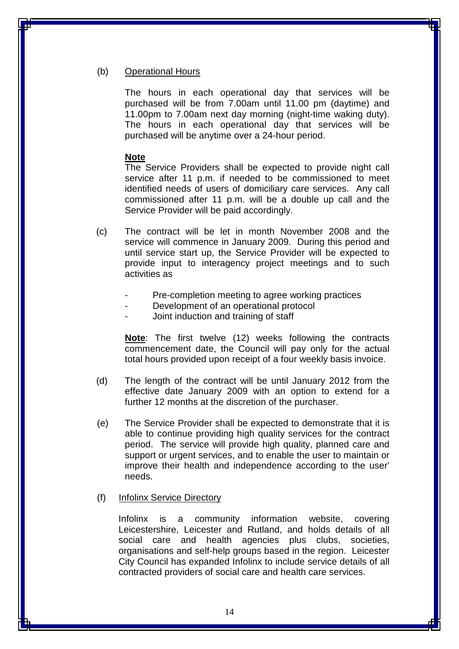#### (b) Operational Hours

The hours in each operational day that services will be purchased will be from 7.00am until 11.00 pm (daytime) and 11.00pm to 7.00am next day morning (night-time waking duty). The hours in each operational day that services will be purchased will be anytime over a 24-hour period.

#### **Note**

The Service Providers shall be expected to provide night call service after 11 p.m. if needed to be commissioned to meet identified needs of users of domiciliary care services. Any call commissioned after 11 p.m. will be a double up call and the Service Provider will be paid accordingly.

- (c) The contract will be let in month November 2008 and the service will commence in January 2009. During this period and until service start up, the Service Provider will be expected to provide input to interagency project meetings and to such activities as
	- Pre-completion meeting to agree working practices
	- Development of an operational protocol
	- Joint induction and training of staff

**Note**: The first twelve (12) weeks following the contracts commencement date, the Council will pay only for the actual total hours provided upon receipt of a four weekly basis invoice.

- (d) The length of the contract will be until January 2012 from the effective date January 2009 with an option to extend for a further 12 months at the discretion of the purchaser.
- (e) The Service Provider shall be expected to demonstrate that it is able to continue providing high quality services for the contract period. The service will provide high quality, planned care and support or urgent services, and to enable the user to maintain or improve their health and independence according to the user' needs.

#### (f) Infolinx Service Directory

Infolinx is a community information website, covering Leicestershire, Leicester and Rutland, and holds details of all social care and health agencies plus clubs, societies, organisations and self-help groups based in the region. Leicester City Council has expanded Infolinx to include service details of all contracted providers of social care and health care services.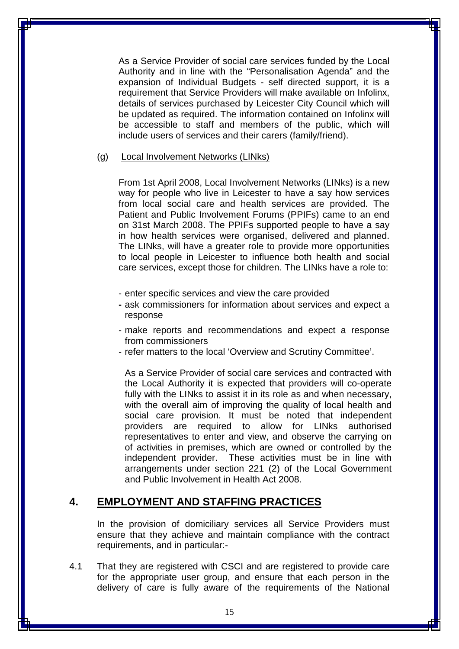As a Service Provider of social care services funded by the Local Authority and in line with the "Personalisation Agenda" and the expansion of Individual Budgets - self directed support, it is a requirement that Service Providers will make available on Infolinx, details of services purchased by Leicester City Council which will be updated as required. The information contained on Infolinx will be accessible to staff and members of the public, which will include users of services and their carers (family/friend).

#### (g) Local Involvement Networks (LINks)

From 1st April 2008, Local Involvement Networks (LINks) is a new way for people who live in Leicester to have a say how services from local social care and health services are provided. The Patient and Public Involvement Forums (PPIFs) came to an end on 31st March 2008. The PPIFs supported people to have a say in how health services were organised, delivered and planned. The LINks, will have a greater role to provide more opportunities to local people in Leicester to influence both health and social care services, except those for children. The LINks have a role to:

- enter specific services and view the care provided
- **-** ask commissioners for information about services and expect a response
- make reports and recommendations and expect a response from commissioners
- refer matters to the local 'Overview and Scrutiny Committee'.

As a Service Provider of social care services and contracted with the Local Authority it is expected that providers will co-operate fully with the LINks to assist it in its role as and when necessary, with the overall aim of improving the quality of local health and social care provision. It must be noted that independent providers are required to allow for LINks authorised representatives to enter and view, and observe the carrying on of activities in premises, which are owned or controlled by the independent provider. These activities must be in line with arrangements under section 221 (2) of the Local Government and Public Involvement in Health Act 2008.

### **4. EMPLOYMENT AND STAFFING PRACTICES**

In the provision of domiciliary services all Service Providers must ensure that they achieve and maintain compliance with the contract requirements, and in particular:-

4.1 That they are registered with CSCI and are registered to provide care for the appropriate user group, and ensure that each person in the delivery of care is fully aware of the requirements of the National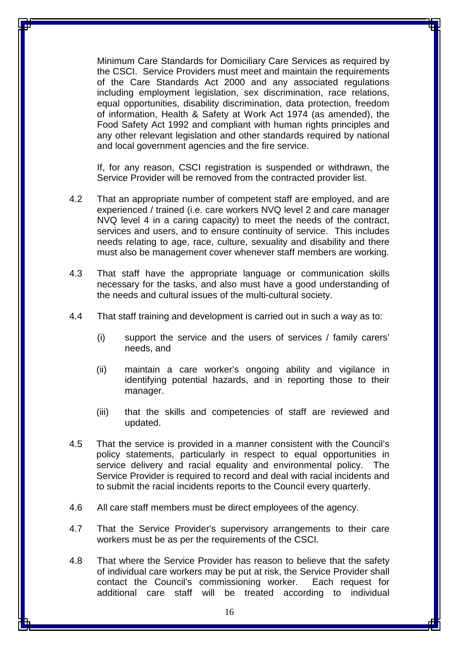Minimum Care Standards for Domiciliary Care Services as required by the CSCI. Service Providers must meet and maintain the requirements of the Care Standards Act 2000 and any associated regulations including employment legislation, sex discrimination, race relations, equal opportunities, disability discrimination, data protection, freedom of information, Health & Safety at Work Act 1974 (as amended), the Food Safety Act 1992 and compliant with human rights principles and any other relevant legislation and other standards required by national and local government agencies and the fire service.

If, for any reason, CSCI registration is suspended or withdrawn, the Service Provider will be removed from the contracted provider list.

- 4.2 That an appropriate number of competent staff are employed, and are experienced / trained (i.e. care workers NVQ level 2 and care manager NVQ level 4 in a caring capacity) to meet the needs of the contract, services and users, and to ensure continuity of service. This includes needs relating to age, race, culture, sexuality and disability and there must also be management cover whenever staff members are working.
- 4.3 That staff have the appropriate language or communication skills necessary for the tasks, and also must have a good understanding of the needs and cultural issues of the multi-cultural society.
- 4.4 That staff training and development is carried out in such a way as to:
	- (i) support the service and the users of services / family carers' needs, and
	- (ii) maintain a care worker's ongoing ability and vigilance in identifying potential hazards, and in reporting those to their manager.
	- (iii) that the skills and competencies of staff are reviewed and updated.
- 4.5 That the service is provided in a manner consistent with the Council's policy statements, particularly in respect to equal opportunities in service delivery and racial equality and environmental policy. The Service Provider is required to record and deal with racial incidents and to submit the racial incidents reports to the Council every quarterly.
- 4.6 All care staff members must be direct employees of the agency.
- 4.7 That the Service Provider's supervisory arrangements to their care workers must be as per the requirements of the CSCI.
- 4.8 That where the Service Provider has reason to believe that the safety of individual care workers may be put at risk, the Service Provider shall contact the Council's commissioning worker. Each request for additional care staff will be treated according to individual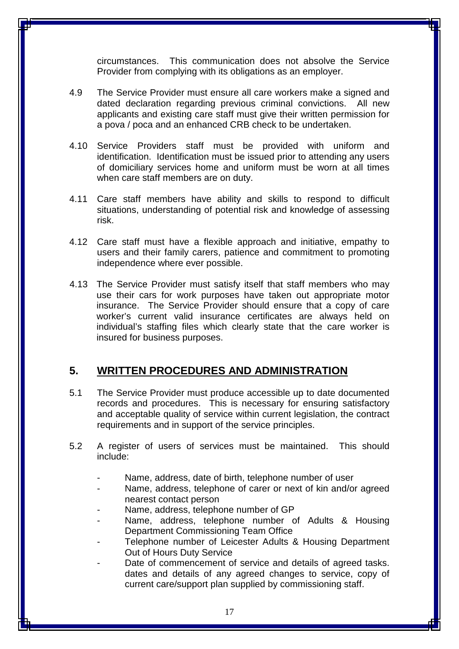circumstances. This communication does not absolve the Service Provider from complying with its obligations as an employer.

- 4.9 The Service Provider must ensure all care workers make a signed and dated declaration regarding previous criminal convictions. All new applicants and existing care staff must give their written permission for a pova / poca and an enhanced CRB check to be undertaken.
- 4.10 Service Providers staff must be provided with uniform and identification. Identification must be issued prior to attending any users of domiciliary services home and uniform must be worn at all times when care staff members are on duty.
- 4.11 Care staff members have ability and skills to respond to difficult situations, understanding of potential risk and knowledge of assessing risk.
- 4.12 Care staff must have a flexible approach and initiative, empathy to users and their family carers, patience and commitment to promoting independence where ever possible.
- 4.13 The Service Provider must satisfy itself that staff members who may use their cars for work purposes have taken out appropriate motor insurance. The Service Provider should ensure that a copy of care worker's current valid insurance certificates are always held on individual's staffing files which clearly state that the care worker is insured for business purposes.

## **5. WRITTEN PROCEDURES AND ADMINISTRATION**

- 5.1 The Service Provider must produce accessible up to date documented records and procedures. This is necessary for ensuring satisfactory and acceptable quality of service within current legislation, the contract requirements and in support of the service principles.
- 5.2 A register of users of services must be maintained. This should include:
	- Name, address, date of birth, telephone number of user
	- Name, address, telephone of carer or next of kin and/or agreed nearest contact person
	- Name, address, telephone number of GP
	- Name, address, telephone number of Adults & Housing Department Commissioning Team Office
	- Telephone number of Leicester Adults & Housing Department Out of Hours Duty Service
	- Date of commencement of service and details of agreed tasks. dates and details of any agreed changes to service, copy of current care/support plan supplied by commissioning staff.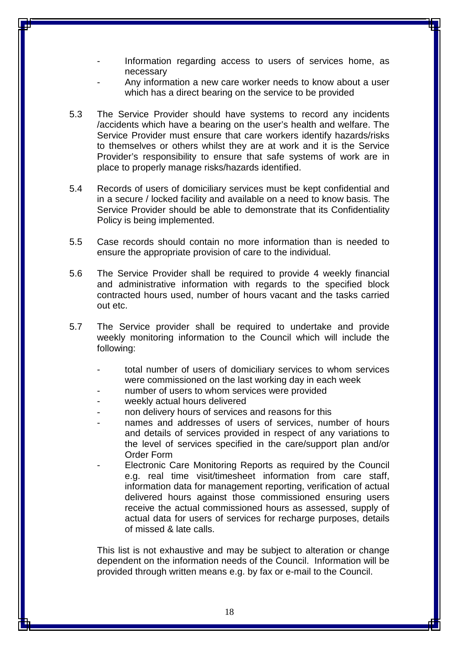- Information regarding access to users of services home, as necessary
- Any information a new care worker needs to know about a user which has a direct bearing on the service to be provided
- 5.3 The Service Provider should have systems to record any incidents /accidents which have a bearing on the user's health and welfare. The Service Provider must ensure that care workers identify hazards/risks to themselves or others whilst they are at work and it is the Service Provider's responsibility to ensure that safe systems of work are in place to properly manage risks/hazards identified.
- 5.4 Records of users of domiciliary services must be kept confidential and in a secure / locked facility and available on a need to know basis. The Service Provider should be able to demonstrate that its Confidentiality Policy is being implemented.
- 5.5 Case records should contain no more information than is needed to ensure the appropriate provision of care to the individual.
- 5.6 The Service Provider shall be required to provide 4 weekly financial and administrative information with regards to the specified block contracted hours used, number of hours vacant and the tasks carried out etc.
- 5.7 The Service provider shall be required to undertake and provide weekly monitoring information to the Council which will include the following:
	- total number of users of domiciliary services to whom services were commissioned on the last working day in each week
	- number of users to whom services were provided
	- weekly actual hours delivered
	- non delivery hours of services and reasons for this
	- names and addresses of users of services, number of hours and details of services provided in respect of any variations to the level of services specified in the care/support plan and/or Order Form
		- Electronic Care Monitoring Reports as required by the Council e.g. real time visit/timesheet information from care staff, information data for management reporting, verification of actual delivered hours against those commissioned ensuring users receive the actual commissioned hours as assessed, supply of actual data for users of services for recharge purposes, details of missed & late calls.

This list is not exhaustive and may be subject to alteration or change dependent on the information needs of the Council. Information will be provided through written means e.g. by fax or e-mail to the Council.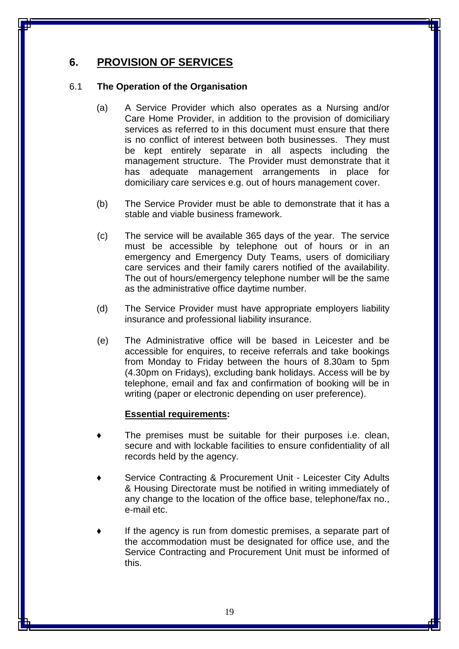## **6. PROVISION OF SERVICES**

#### 6.1 **The Operation of the Organisation**

- (a) A Service Provider which also operates as a Nursing and/or Care Home Provider, in addition to the provision of domiciliary services as referred to in this document must ensure that there is no conflict of interest between both businesses. They must be kept entirely separate in all aspects including the management structure. The Provider must demonstrate that it has adequate management arrangements in place for domiciliary care services e.g. out of hours management cover.
- (b) The Service Provider must be able to demonstrate that it has a stable and viable business framework.
- (c) The service will be available 365 days of the year. The service must be accessible by telephone out of hours or in an emergency and Emergency Duty Teams, users of domiciliary care services and their family carers notified of the availability. The out of hours/emergency telephone number will be the same as the administrative office daytime number.
- (d) The Service Provider must have appropriate employers liability insurance and professional liability insurance.
- (e) The Administrative office will be based in Leicester and be accessible for enquires, to receive referrals and take bookings from Monday to Friday between the hours of 8.30am to 5pm (4.30pm on Fridays), excluding bank holidays. Access will be by telephone, email and fax and confirmation of booking will be in writing (paper or electronic depending on user preference).

#### **Essential requirements:**

- The premises must be suitable for their purposes i.e. clean, secure and with lockable facilities to ensure confidentiality of all records held by the agency.
- Service Contracting & Procurement Unit Leicester City Adults & Housing Directorate must be notified in writing immediately of any change to the location of the office base, telephone/fax no., e-mail etc.
- If the agency is run from domestic premises, a separate part of the accommodation must be designated for office use, and the Service Contracting and Procurement Unit must be informed of this.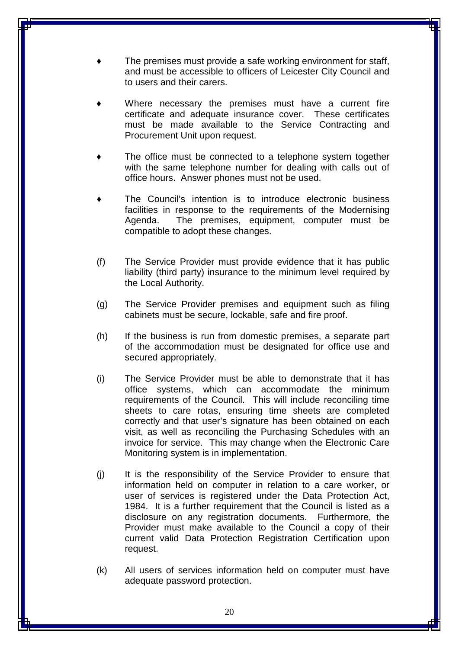- The premises must provide a safe working environment for staff, and must be accessible to officers of Leicester City Council and to users and their carers.
- Where necessary the premises must have a current fire certificate and adequate insurance cover. These certificates must be made available to the Service Contracting and Procurement Unit upon request.
- The office must be connected to a telephone system together with the same telephone number for dealing with calls out of office hours. Answer phones must not be used.
- The Council's intention is to introduce electronic business facilities in response to the requirements of the Modernising Agenda. The premises, equipment, computer must be compatible to adopt these changes.
- (f) The Service Provider must provide evidence that it has public liability (third party) insurance to the minimum level required by the Local Authority.
- (g) The Service Provider premises and equipment such as filing cabinets must be secure, lockable, safe and fire proof.
- (h) If the business is run from domestic premises, a separate part of the accommodation must be designated for office use and secured appropriately.
- (i) The Service Provider must be able to demonstrate that it has office systems, which can accommodate the minimum requirements of the Council. This will include reconciling time sheets to care rotas, ensuring time sheets are completed correctly and that user's signature has been obtained on each visit, as well as reconciling the Purchasing Schedules with an invoice for service. This may change when the Electronic Care Monitoring system is in implementation.
- (j) It is the responsibility of the Service Provider to ensure that information held on computer in relation to a care worker, or user of services is registered under the Data Protection Act, 1984. It is a further requirement that the Council is listed as a disclosure on any registration documents. Furthermore, the Provider must make available to the Council a copy of their current valid Data Protection Registration Certification upon request.
- (k) All users of services information held on computer must have adequate password protection.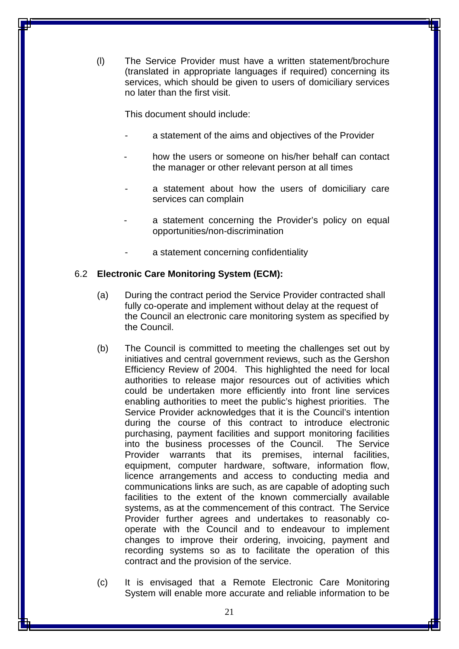(l) The Service Provider must have a written statement/brochure (translated in appropriate languages if required) concerning its services, which should be given to users of domiciliary services no later than the first visit.

This document should include:

- a statement of the aims and objectives of the Provider
- how the users or someone on his/her behalf can contact the manager or other relevant person at all times
- a statement about how the users of domiciliary care services can complain
- a statement concerning the Provider's policy on equal opportunities/non-discrimination
- a statement concerning confidentiality

#### 6.2 **Electronic Care Monitoring System (ECM):**

- (a) During the contract period the Service Provider contracted shall fully co-operate and implement without delay at the request of the Council an electronic care monitoring system as specified by the Council.
- (b) The Council is committed to meeting the challenges set out by initiatives and central government reviews, such as the Gershon Efficiency Review of 2004. This highlighted the need for local authorities to release major resources out of activities which could be undertaken more efficiently into front line services enabling authorities to meet the public's highest priorities. The Service Provider acknowledges that it is the Council's intention during the course of this contract to introduce electronic purchasing, payment facilities and support monitoring facilities into the business processes of the Council. The Service Provider warrants that its premises, internal facilities, equipment, computer hardware, software, information flow, licence arrangements and access to conducting media and communications links are such, as are capable of adopting such facilities to the extent of the known commercially available systems, as at the commencement of this contract. The Service Provider further agrees and undertakes to reasonably cooperate with the Council and to endeavour to implement changes to improve their ordering, invoicing, payment and recording systems so as to facilitate the operation of this contract and the provision of the service.
- (c) It is envisaged that a Remote Electronic Care Monitoring System will enable more accurate and reliable information to be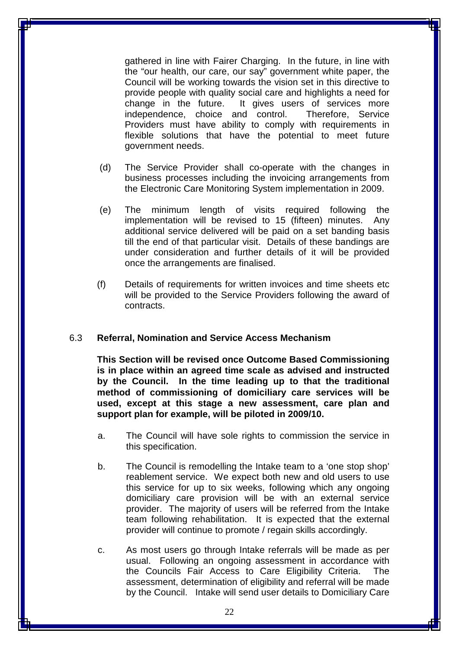gathered in line with Fairer Charging. In the future, in line with the "our health, our care, our say" government white paper, the Council will be working towards the vision set in this directive to provide people with quality social care and highlights a need for change in the future. It gives users of services more independence, choice and control. Therefore, Service Providers must have ability to comply with requirements in flexible solutions that have the potential to meet future government needs.

- (d) The Service Provider shall co-operate with the changes in business processes including the invoicing arrangements from the Electronic Care Monitoring System implementation in 2009.
- (e) The minimum length of visits required following the implementation will be revised to 15 (fifteen) minutes. Any additional service delivered will be paid on a set banding basis till the end of that particular visit. Details of these bandings are under consideration and further details of it will be provided once the arrangements are finalised.
- (f) Details of requirements for written invoices and time sheets etc will be provided to the Service Providers following the award of contracts.

#### 6.3 **Referral, Nomination and Service Access Mechanism**

**This Section will be revised once Outcome Based Commissioning is in place within an agreed time scale as advised and instructed by the Council. In the time leading up to that the traditional method of commissioning of domiciliary care services will be used, except at this stage a new assessment, care plan and support plan for example, will be piloted in 2009/10.** 

- a. The Council will have sole rights to commission the service in this specification.
- b. The Council is remodelling the Intake team to a 'one stop shop' reablement service. We expect both new and old users to use this service for up to six weeks, following which any ongoing domiciliary care provision will be with an external service provider. The majority of users will be referred from the Intake team following rehabilitation. It is expected that the external provider will continue to promote / regain skills accordingly.
- c. As most users go through Intake referrals will be made as per usual. Following an ongoing assessment in accordance with the Councils Fair Access to Care Eligibility Criteria. The assessment, determination of eligibility and referral will be made by the Council. Intake will send user details to Domiciliary Care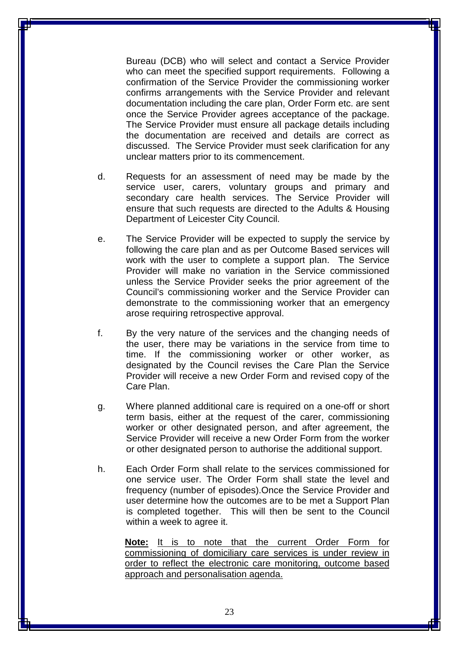Bureau (DCB) who will select and contact a Service Provider who can meet the specified support requirements. Following a confirmation of the Service Provider the commissioning worker confirms arrangements with the Service Provider and relevant documentation including the care plan, Order Form etc. are sent once the Service Provider agrees acceptance of the package. The Service Provider must ensure all package details including the documentation are received and details are correct as discussed. The Service Provider must seek clarification for any unclear matters prior to its commencement.

- d. Requests for an assessment of need may be made by the service user, carers, voluntary groups and primary and secondary care health services. The Service Provider will ensure that such requests are directed to the Adults & Housing Department of Leicester City Council.
- e. The Service Provider will be expected to supply the service by following the care plan and as per Outcome Based services will work with the user to complete a support plan. The Service Provider will make no variation in the Service commissioned unless the Service Provider seeks the prior agreement of the Council's commissioning worker and the Service Provider can demonstrate to the commissioning worker that an emergency arose requiring retrospective approval.
- f. By the very nature of the services and the changing needs of the user, there may be variations in the service from time to time. If the commissioning worker or other worker, as designated by the Council revises the Care Plan the Service Provider will receive a new Order Form and revised copy of the Care Plan.
- g. Where planned additional care is required on a one-off or short term basis, either at the request of the carer, commissioning worker or other designated person, and after agreement, the Service Provider will receive a new Order Form from the worker or other designated person to authorise the additional support.
- h. Each Order Form shall relate to the services commissioned for one service user. The Order Form shall state the level and frequency (number of episodes).Once the Service Provider and user determine how the outcomes are to be met a Support Plan is completed together. This will then be sent to the Council within a week to agree it.

**Note:** It is to note that the current Order Form for commissioning of domiciliary care services is under review in order to reflect the electronic care monitoring, outcome based approach and personalisation agenda.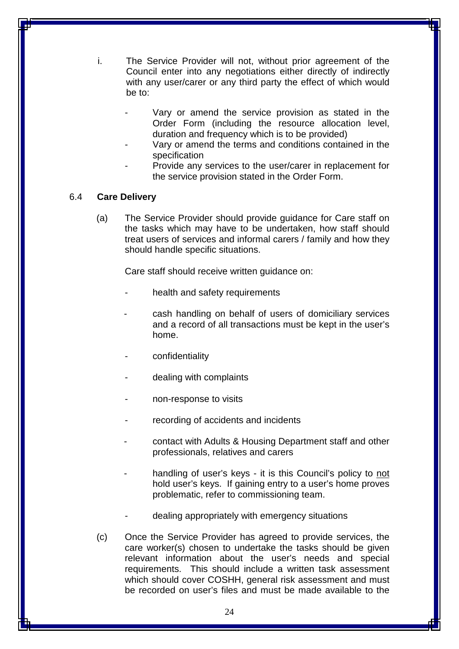- i. The Service Provider will not, without prior agreement of the Council enter into any negotiations either directly of indirectly with any user/carer or any third party the effect of which would be to:
	- Vary or amend the service provision as stated in the Order Form (including the resource allocation level, duration and frequency which is to be provided)
	- Vary or amend the terms and conditions contained in the specification
	- Provide any services to the user/carer in replacement for the service provision stated in the Order Form.

#### 6.4 **Care Delivery**

(a) The Service Provider should provide guidance for Care staff on the tasks which may have to be undertaken, how staff should treat users of services and informal carers / family and how they should handle specific situations.

Care staff should receive written guidance on:

- health and safety requirements
- cash handling on behalf of users of domiciliary services and a record of all transactions must be kept in the user's home.
- confidentiality
- dealing with complaints
- non-response to visits
- recording of accidents and incidents
- contact with Adults & Housing Department staff and other professionals, relatives and carers
- handling of user's keys it is this Council's policy to not hold user's keys. If gaining entry to a user's home proves problematic, refer to commissioning team.
- dealing appropriately with emergency situations
- (c) Once the Service Provider has agreed to provide services, the care worker(s) chosen to undertake the tasks should be given relevant information about the user's needs and special requirements. This should include a written task assessment which should cover COSHH, general risk assessment and must be recorded on user's files and must be made available to the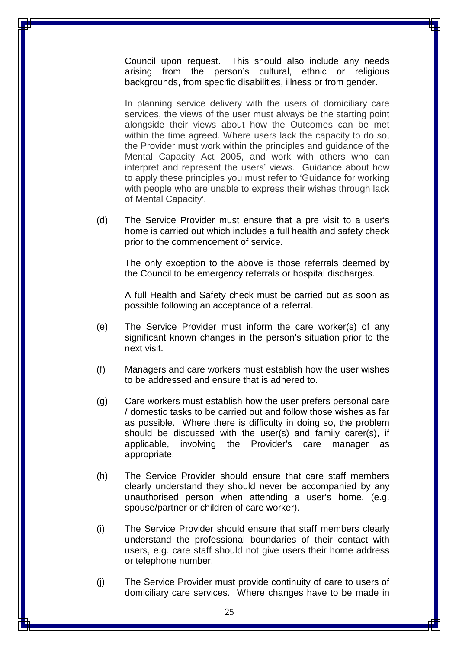Council upon request. This should also include any needs arising from the person's cultural, ethnic or religious backgrounds, from specific disabilities, illness or from gender.

In planning service delivery with the users of domiciliary care services, the views of the user must always be the starting point alongside their views about how the Outcomes can be met within the time agreed. Where users lack the capacity to do so, the Provider must work within the principles and guidance of the Mental Capacity Act 2005, and work with others who can interpret and represent the users' views. Guidance about how to apply these principles you must refer to 'Guidance for working with people who are unable to express their wishes through lack of Mental Capacity'.

(d) The Service Provider must ensure that a pre visit to a user's home is carried out which includes a full health and safety check prior to the commencement of service.

The only exception to the above is those referrals deemed by the Council to be emergency referrals or hospital discharges.

A full Health and Safety check must be carried out as soon as possible following an acceptance of a referral.

- (e) The Service Provider must inform the care worker(s) of any significant known changes in the person's situation prior to the next visit.
- (f) Managers and care workers must establish how the user wishes to be addressed and ensure that is adhered to.
- (g) Care workers must establish how the user prefers personal care / domestic tasks to be carried out and follow those wishes as far as possible. Where there is difficulty in doing so, the problem should be discussed with the user(s) and family carer(s), if applicable, involving the Provider's care manager as appropriate.
- (h) The Service Provider should ensure that care staff members clearly understand they should never be accompanied by any unauthorised person when attending a user's home, (e.g. spouse/partner or children of care worker).
- (i) The Service Provider should ensure that staff members clearly understand the professional boundaries of their contact with users, e.g. care staff should not give users their home address or telephone number.
- (j) The Service Provider must provide continuity of care to users of domiciliary care services. Where changes have to be made in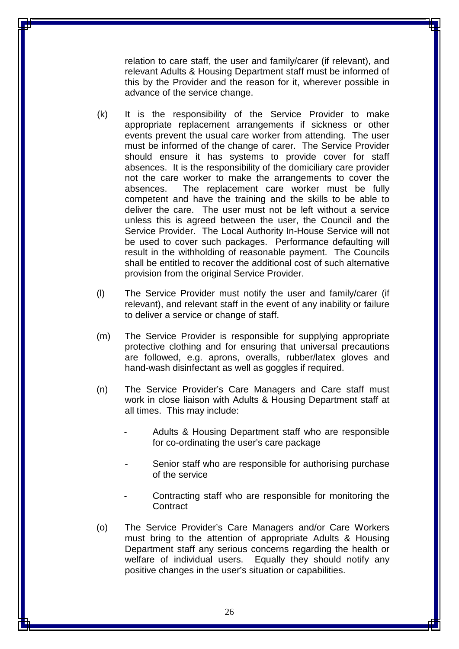relation to care staff, the user and family/carer (if relevant), and relevant Adults & Housing Department staff must be informed of this by the Provider and the reason for it, wherever possible in advance of the service change.

- (k) It is the responsibility of the Service Provider to make appropriate replacement arrangements if sickness or other events prevent the usual care worker from attending. The user must be informed of the change of carer. The Service Provider should ensure it has systems to provide cover for staff absences. It is the responsibility of the domiciliary care provider not the care worker to make the arrangements to cover the absences. The replacement care worker must be fully competent and have the training and the skills to be able to deliver the care. The user must not be left without a service unless this is agreed between the user, the Council and the Service Provider. The Local Authority In-House Service will not be used to cover such packages. Performance defaulting will result in the withholding of reasonable payment. The Councils shall be entitled to recover the additional cost of such alternative provision from the original Service Provider.
- (l) The Service Provider must notify the user and family/carer (if relevant), and relevant staff in the event of any inability or failure to deliver a service or change of staff.
- (m) The Service Provider is responsible for supplying appropriate protective clothing and for ensuring that universal precautions are followed, e.g. aprons, overalls, rubber/latex gloves and hand-wash disinfectant as well as goggles if required.
- (n) The Service Provider's Care Managers and Care staff must work in close liaison with Adults & Housing Department staff at all times. This may include:
	- Adults & Housing Department staff who are responsible for co-ordinating the user's care package
	- Senior staff who are responsible for authorising purchase of the service
	- Contracting staff who are responsible for monitoring the **Contract**
- (o) The Service Provider's Care Managers and/or Care Workers must bring to the attention of appropriate Adults & Housing Department staff any serious concerns regarding the health or welfare of individual users. Equally they should notify any positive changes in the user's situation or capabilities.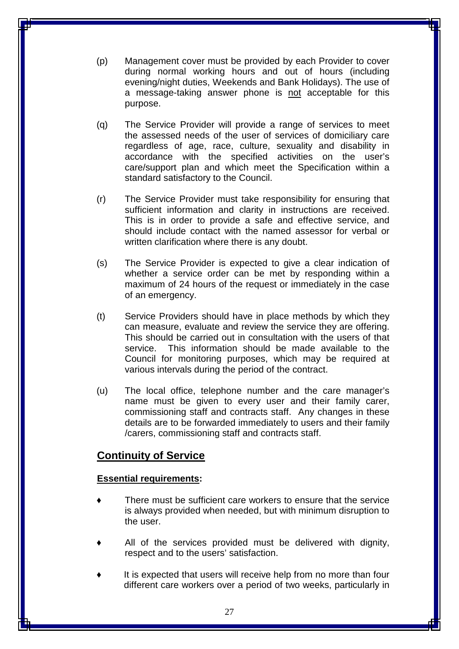- (p) Management cover must be provided by each Provider to cover during normal working hours and out of hours (including evening/night duties, Weekends and Bank Holidays). The use of a message-taking answer phone is not acceptable for this purpose.
- (q) The Service Provider will provide a range of services to meet the assessed needs of the user of services of domiciliary care regardless of age, race, culture, sexuality and disability in accordance with the specified activities on the user's care/support plan and which meet the Specification within a standard satisfactory to the Council.
- (r) The Service Provider must take responsibility for ensuring that sufficient information and clarity in instructions are received. This is in order to provide a safe and effective service, and should include contact with the named assessor for verbal or written clarification where there is any doubt.
- (s) The Service Provider is expected to give a clear indication of whether a service order can be met by responding within a maximum of 24 hours of the request or immediately in the case of an emergency.
- (t) Service Providers should have in place methods by which they can measure, evaluate and review the service they are offering. This should be carried out in consultation with the users of that service. This information should be made available to the Council for monitoring purposes, which may be required at various intervals during the period of the contract.
- (u) The local office, telephone number and the care manager's name must be given to every user and their family carer, commissioning staff and contracts staff. Any changes in these details are to be forwarded immediately to users and their family /carers, commissioning staff and contracts staff.

## **Continuity of Service**

#### **Essential requirements:**

- There must be sufficient care workers to ensure that the service is always provided when needed, but with minimum disruption to the user.
- All of the services provided must be delivered with dignity, respect and to the users' satisfaction.
- It is expected that users will receive help from no more than four different care workers over a period of two weeks, particularly in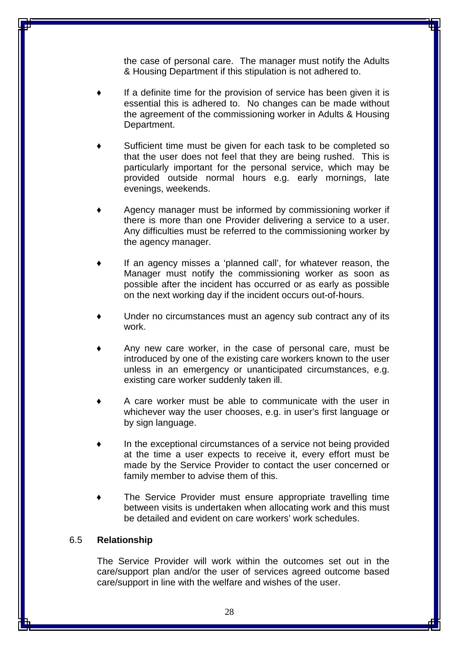the case of personal care. The manager must notify the Adults & Housing Department if this stipulation is not adhered to.

- If a definite time for the provision of service has been given it is essential this is adhered to. No changes can be made without the agreement of the commissioning worker in Adults & Housing Department.
- Sufficient time must be given for each task to be completed so that the user does not feel that they are being rushed. This is particularly important for the personal service, which may be provided outside normal hours e.g. early mornings, late evenings, weekends.
- Agency manager must be informed by commissioning worker if there is more than one Provider delivering a service to a user. Any difficulties must be referred to the commissioning worker by the agency manager.
- If an agency misses a 'planned call', for whatever reason, the Manager must notify the commissioning worker as soon as possible after the incident has occurred or as early as possible on the next working day if the incident occurs out-of-hours.
- Under no circumstances must an agency sub contract any of its work.
- Any new care worker, in the case of personal care, must be introduced by one of the existing care workers known to the user unless in an emergency or unanticipated circumstances, e.g. existing care worker suddenly taken ill.
- A care worker must be able to communicate with the user in whichever way the user chooses, e.g. in user's first language or by sign language.
- In the exceptional circumstances of a service not being provided at the time a user expects to receive it, every effort must be made by the Service Provider to contact the user concerned or family member to advise them of this.
- The Service Provider must ensure appropriate travelling time between visits is undertaken when allocating work and this must be detailed and evident on care workers' work schedules.

#### 6.5 **Relationship**

The Service Provider will work within the outcomes set out in the care/support plan and/or the user of services agreed outcome based care/support in line with the welfare and wishes of the user.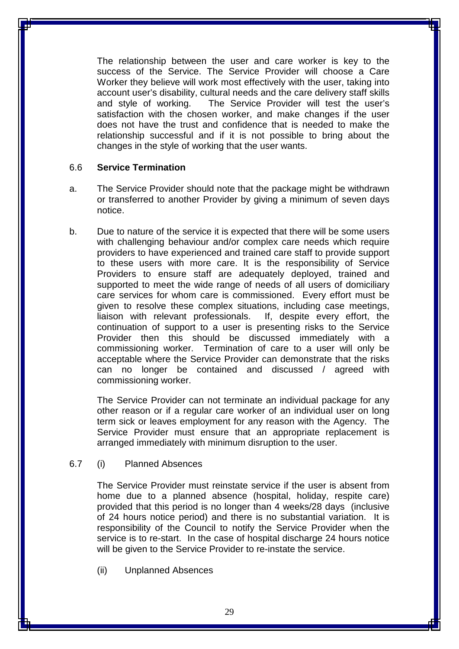The relationship between the user and care worker is key to the success of the Service. The Service Provider will choose a Care Worker they believe will work most effectively with the user, taking into account user's disability, cultural needs and the care delivery staff skills and style of working. The Service Provider will test the user's satisfaction with the chosen worker, and make changes if the user does not have the trust and confidence that is needed to make the relationship successful and if it is not possible to bring about the changes in the style of working that the user wants.

#### 6.6 **Service Termination**

- a. The Service Provider should note that the package might be withdrawn or transferred to another Provider by giving a minimum of seven days notice.
- b. Due to nature of the service it is expected that there will be some users with challenging behaviour and/or complex care needs which require providers to have experienced and trained care staff to provide support to these users with more care. It is the responsibility of Service Providers to ensure staff are adequately deployed, trained and supported to meet the wide range of needs of all users of domiciliary care services for whom care is commissioned. Every effort must be given to resolve these complex situations, including case meetings, liaison with relevant professionals. If, despite every effort, the continuation of support to a user is presenting risks to the Service Provider then this should be discussed immediately with a commissioning worker. Termination of care to a user will only be acceptable where the Service Provider can demonstrate that the risks can no longer be contained and discussed / agreed with commissioning worker.

The Service Provider can not terminate an individual package for any other reason or if a regular care worker of an individual user on long term sick or leaves employment for any reason with the Agency. The Service Provider must ensure that an appropriate replacement is arranged immediately with minimum disruption to the user.

#### 6.7 (i) Planned Absences

The Service Provider must reinstate service if the user is absent from home due to a planned absence (hospital, holiday, respite care) provided that this period is no longer than 4 weeks/28 days (inclusive of 24 hours notice period) and there is no substantial variation. It is responsibility of the Council to notify the Service Provider when the service is to re-start. In the case of hospital discharge 24 hours notice will be given to the Service Provider to re-instate the service.

(ii) Unplanned Absences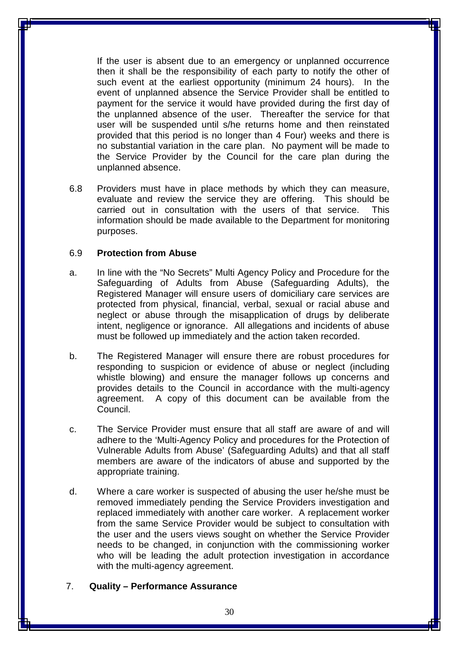If the user is absent due to an emergency or unplanned occurrence then it shall be the responsibility of each party to notify the other of such event at the earliest opportunity (minimum 24 hours). In the event of unplanned absence the Service Provider shall be entitled to payment for the service it would have provided during the first day of the unplanned absence of the user. Thereafter the service for that user will be suspended until s/he returns home and then reinstated provided that this period is no longer than 4 Four) weeks and there is no substantial variation in the care plan. No payment will be made to the Service Provider by the Council for the care plan during the unplanned absence.

6.8 Providers must have in place methods by which they can measure, evaluate and review the service they are offering. This should be carried out in consultation with the users of that service. This information should be made available to the Department for monitoring purposes.

#### 6.9 **Protection from Abuse**

- a. In line with the "No Secrets" Multi Agency Policy and Procedure for the Safeguarding of Adults from Abuse (Safeguarding Adults), the Registered Manager will ensure users of domiciliary care services are protected from physical, financial, verbal, sexual or racial abuse and neglect or abuse through the misapplication of drugs by deliberate intent, negligence or ignorance. All allegations and incidents of abuse must be followed up immediately and the action taken recorded.
- b. The Registered Manager will ensure there are robust procedures for responding to suspicion or evidence of abuse or neglect (including whistle blowing) and ensure the manager follows up concerns and provides details to the Council in accordance with the multi-agency agreement. A copy of this document can be available from the Council.
- c. The Service Provider must ensure that all staff are aware of and will adhere to the 'Multi-Agency Policy and procedures for the Protection of Vulnerable Adults from Abuse' (Safeguarding Adults) and that all staff members are aware of the indicators of abuse and supported by the appropriate training.
- d. Where a care worker is suspected of abusing the user he/she must be removed immediately pending the Service Providers investigation and replaced immediately with another care worker. A replacement worker from the same Service Provider would be subject to consultation with the user and the users views sought on whether the Service Provider needs to be changed, in conjunction with the commissioning worker who will be leading the adult protection investigation in accordance with the multi-agency agreement.

#### 7. **Quality – Performance Assurance**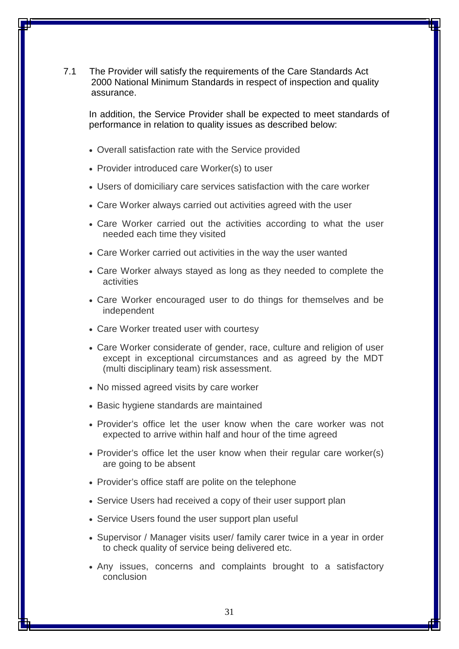7.1 The Provider will satisfy the requirements of the Care Standards Act 2000 National Minimum Standards in respect of inspection and quality assurance.

In addition, the Service Provider shall be expected to meet standards of performance in relation to quality issues as described below:

- Overall satisfaction rate with the Service provided
- Provider introduced care Worker(s) to user
- Users of domiciliary care services satisfaction with the care worker
- Care Worker always carried out activities agreed with the user
- Care Worker carried out the activities according to what the user needed each time they visited
- Care Worker carried out activities in the way the user wanted
- Care Worker always stayed as long as they needed to complete the activities
- Care Worker encouraged user to do things for themselves and be independent
- Care Worker treated user with courtesy
- Care Worker considerate of gender, race, culture and religion of user except in exceptional circumstances and as agreed by the MDT (multi disciplinary team) risk assessment.
- No missed agreed visits by care worker
- Basic hygiene standards are maintained
- Provider's office let the user know when the care worker was not expected to arrive within half and hour of the time agreed
- Provider's office let the user know when their regular care worker(s) are going to be absent
- Provider's office staff are polite on the telephone
- Service Users had received a copy of their user support plan
- Service Users found the user support plan useful
- Supervisor / Manager visits user/ family carer twice in a year in order to check quality of service being delivered etc.
- Any issues, concerns and complaints brought to a satisfactory conclusion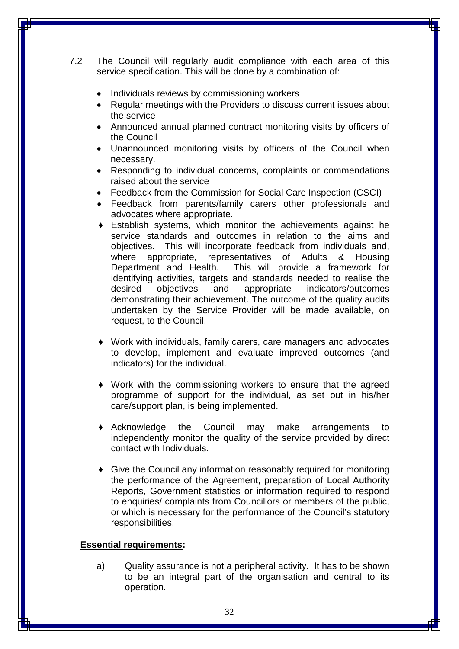7.2 The Council will regularly audit compliance with each area of this service specification. This will be done by a combination of:

- Individuals reviews by commissioning workers
- Regular meetings with the Providers to discuss current issues about the service
- Announced annual planned contract monitoring visits by officers of the Council
- Unannounced monitoring visits by officers of the Council when necessary.
- Responding to individual concerns, complaints or commendations raised about the service
- Feedback from the Commission for Social Care Inspection (CSCI)
- Feedback from parents/family carers other professionals and advocates where appropriate.
- ♦ Establish systems, which monitor the achievements against he service standards and outcomes in relation to the aims and objectives. This will incorporate feedback from individuals and, where appropriate, representatives of Adults & Housing Department and Health. This will provide a framework for identifying activities, targets and standards needed to realise the desired objectives and appropriate indicators/outcomes demonstrating their achievement. The outcome of the quality audits undertaken by the Service Provider will be made available, on request, to the Council.
- Work with individuals, family carers, care managers and advocates to develop, implement and evaluate improved outcomes (and indicators) for the individual.
- ♦ Work with the commissioning workers to ensure that the agreed programme of support for the individual, as set out in his/her care/support plan, is being implemented.
- Acknowledge the Council may make arrangements to independently monitor the quality of the service provided by direct contact with Individuals.
- ♦ Give the Council any information reasonably required for monitoring the performance of the Agreement, preparation of Local Authority Reports, Government statistics or information required to respond to enquiries/ complaints from Councillors or members of the public, or which is necessary for the performance of the Council's statutory responsibilities.

#### **Essential requirements:**

a) Quality assurance is not a peripheral activity. It has to be shown to be an integral part of the organisation and central to its operation.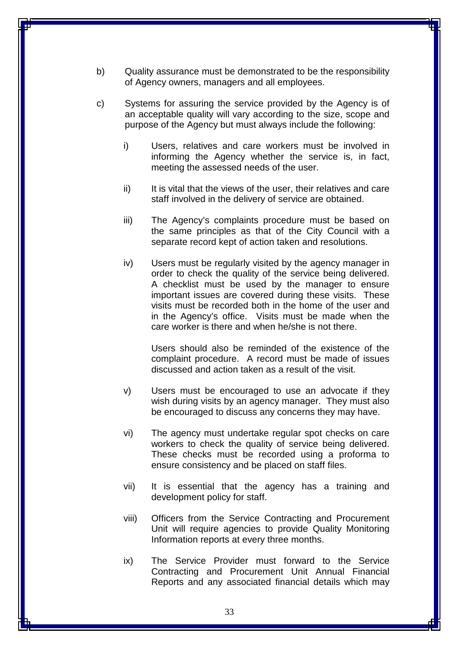- b) Quality assurance must be demonstrated to be the responsibility of Agency owners, managers and all employees.
- c) Systems for assuring the service provided by the Agency is of an acceptable quality will vary according to the size, scope and purpose of the Agency but must always include the following:
	- i) Users, relatives and care workers must be involved in informing the Agency whether the service is, in fact, meeting the assessed needs of the user.
	- ii) It is vital that the views of the user, their relatives and care staff involved in the delivery of service are obtained.
	- iii) The Agency's complaints procedure must be based on the same principles as that of the City Council with a separate record kept of action taken and resolutions.
	- iv) Users must be regularly visited by the agency manager in order to check the quality of the service being delivered. A checklist must be used by the manager to ensure important issues are covered during these visits. These visits must be recorded both in the home of the user and in the Agency's office. Visits must be made when the care worker is there and when he/she is not there.

Users should also be reminded of the existence of the complaint procedure. A record must be made of issues discussed and action taken as a result of the visit.

- v) Users must be encouraged to use an advocate if they wish during visits by an agency manager. They must also be encouraged to discuss any concerns they may have.
- vi) The agency must undertake regular spot checks on care workers to check the quality of service being delivered. These checks must be recorded using a proforma to ensure consistency and be placed on staff files.
- vii) It is essential that the agency has a training and development policy for staff.
- viii) Officers from the Service Contracting and Procurement Unit will require agencies to provide Quality Monitoring Information reports at every three months.
- ix) The Service Provider must forward to the Service Contracting and Procurement Unit Annual Financial Reports and any associated financial details which may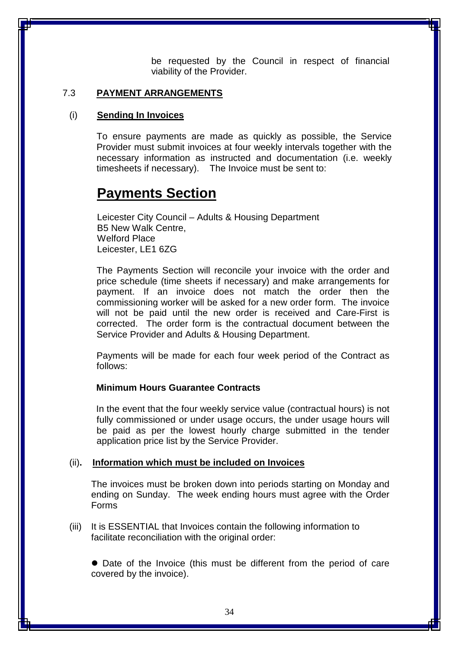be requested by the Council in respect of financial viability of the Provider.

#### 7.3 **PAYMENT ARRANGEMENTS**

#### (i) **Sending In Invoices**

To ensure payments are made as quickly as possible, the Service Provider must submit invoices at four weekly intervals together with the necessary information as instructed and documentation (i.e. weekly timesheets if necessary). The Invoice must be sent to:

## **Payments Section**

Leicester City Council – Adults & Housing Department B5 New Walk Centre, Welford Place Leicester, LE1 6ZG

The Payments Section will reconcile your invoice with the order and price schedule (time sheets if necessary) and make arrangements for payment. If an invoice does not match the order then the commissioning worker will be asked for a new order form. The invoice will not be paid until the new order is received and Care-First is corrected. The order form is the contractual document between the Service Provider and Adults & Housing Department.

 Payments will be made for each four week period of the Contract as follows:

#### **Minimum Hours Guarantee Contracts**

 In the event that the four weekly service value (contractual hours) is not fully commissioned or under usage occurs, the under usage hours will be paid as per the lowest hourly charge submitted in the tender application price list by the Service Provider.

#### (ii)**. Information which must be included on Invoices**

The invoices must be broken down into periods starting on Monday and ending on Sunday. The week ending hours must agree with the Order Forms

(iii) It is ESSENTIAL that Invoices contain the following information to facilitate reconciliation with the original order:

 Date of the Invoice (this must be different from the period of care covered by the invoice).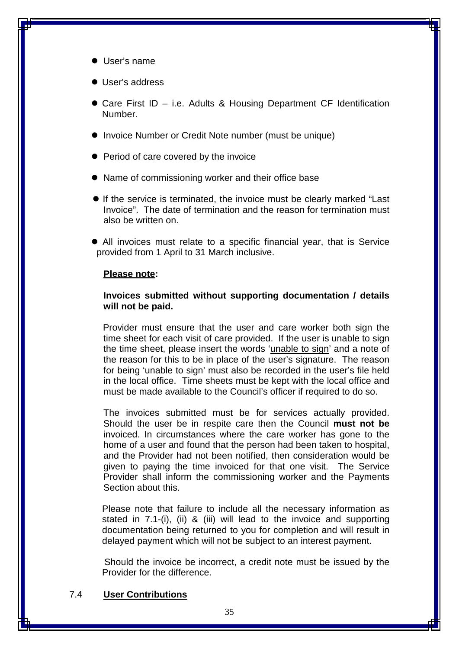- User's name
- User's address
- Care First ID i.e. Adults & Housing Department CF Identification Number.
- Invoice Number or Credit Note number (must be unique)
- Period of care covered by the invoice
- Name of commissioning worker and their office base
- If the service is terminated, the invoice must be clearly marked "Last Invoice". The date of termination and the reason for termination must also be written on.
- All invoices must relate to a specific financial year, that is Service provided from 1 April to 31 March inclusive.

#### **Please note:**

#### **Invoices submitted without supporting documentation / details will not be paid.**

 Provider must ensure that the user and care worker both sign the time sheet for each visit of care provided. If the user is unable to sign the time sheet, please insert the words 'unable to sign' and a note of the reason for this to be in place of the user's signature. The reason for being 'unable to sign' must also be recorded in the user's file held in the local office. Time sheets must be kept with the local office and must be made available to the Council's officer if required to do so.

The invoices submitted must be for services actually provided. Should the user be in respite care then the Council **must not be** invoiced. In circumstances where the care worker has gone to the home of a user and found that the person had been taken to hospital, and the Provider had not been notified, then consideration would be given to paying the time invoiced for that one visit. The Service Provider shall inform the commissioning worker and the Payments Section about this.

Please note that failure to include all the necessary information as stated in 7.1-(i), (ii) & (iii) will lead to the invoice and supporting documentation being returned to you for completion and will result in delayed payment which will not be subject to an interest payment.

 Should the invoice be incorrect, a credit note must be issued by the Provider for the difference.

#### 7.4 **User Contributions**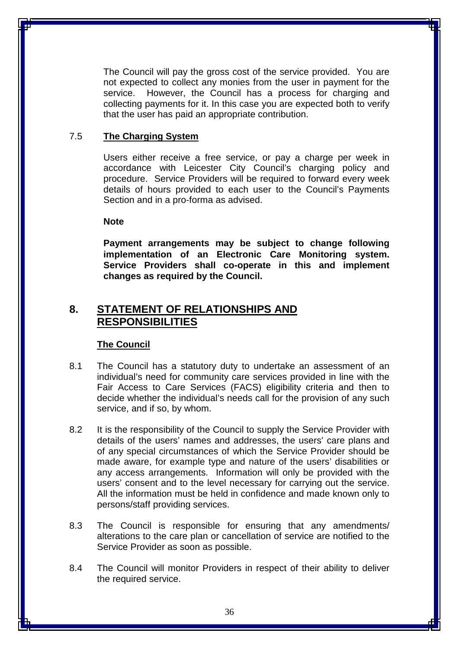The Council will pay the gross cost of the service provided. You are not expected to collect any monies from the user in payment for the service. However, the Council has a process for charging and collecting payments for it. In this case you are expected both to verify that the user has paid an appropriate contribution.

#### 7.5 **The Charging System**

Users either receive a free service, or pay a charge per week in accordance with Leicester City Council's charging policy and procedure. Service Providers will be required to forward every week details of hours provided to each user to the Council's Payments Section and in a pro-forma as advised.

#### **Note**

**Payment arrangements may be subject to change following implementation of an Electronic Care Monitoring system. Service Providers shall co-operate in this and implement changes as required by the Council.** 

## **8. STATEMENT OF RELATIONSHIPS AND RESPONSIBILITIES**

#### **The Council**

- 8.1 The Council has a statutory duty to undertake an assessment of an individual's need for community care services provided in line with the Fair Access to Care Services (FACS) eligibility criteria and then to decide whether the individual's needs call for the provision of any such service, and if so, by whom.
- 8.2 It is the responsibility of the Council to supply the Service Provider with details of the users' names and addresses, the users' care plans and of any special circumstances of which the Service Provider should be made aware, for example type and nature of the users' disabilities or any access arrangements. Information will only be provided with the users' consent and to the level necessary for carrying out the service. All the information must be held in confidence and made known only to persons/staff providing services.
- 8.3 The Council is responsible for ensuring that any amendments/ alterations to the care plan or cancellation of service are notified to the Service Provider as soon as possible.
- 8.4 The Council will monitor Providers in respect of their ability to deliver the required service.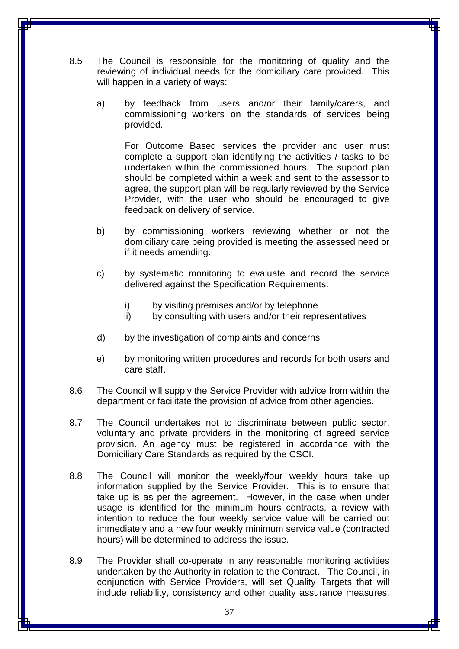- 8.5 The Council is responsible for the monitoring of quality and the reviewing of individual needs for the domiciliary care provided. This will happen in a variety of ways:
	- a) by feedback from users and/or their family/carers, and commissioning workers on the standards of services being provided.

For Outcome Based services the provider and user must complete a support plan identifying the activities / tasks to be undertaken within the commissioned hours. The support plan should be completed within a week and sent to the assessor to agree, the support plan will be regularly reviewed by the Service Provider, with the user who should be encouraged to give feedback on delivery of service.

- b) by commissioning workers reviewing whether or not the domiciliary care being provided is meeting the assessed need or if it needs amending.
- c) by systematic monitoring to evaluate and record the service delivered against the Specification Requirements:
	- i) by visiting premises and/or by telephone
	- ii) by consulting with users and/or their representatives
- d) by the investigation of complaints and concerns
- e) by monitoring written procedures and records for both users and care staff.
- 8.6 The Council will supply the Service Provider with advice from within the department or facilitate the provision of advice from other agencies.
- 8.7 The Council undertakes not to discriminate between public sector, voluntary and private providers in the monitoring of agreed service provision. An agency must be registered in accordance with the Domiciliary Care Standards as required by the CSCI.
- 8.8 The Council will monitor the weekly/four weekly hours take up information supplied by the Service Provider. This is to ensure that take up is as per the agreement. However, in the case when under usage is identified for the minimum hours contracts, a review with intention to reduce the four weekly service value will be carried out immediately and a new four weekly minimum service value (contracted hours) will be determined to address the issue.
- 8.9 The Provider shall co-operate in any reasonable monitoring activities undertaken by the Authority in relation to the Contract. The Council, in conjunction with Service Providers, will set Quality Targets that will include reliability, consistency and other quality assurance measures.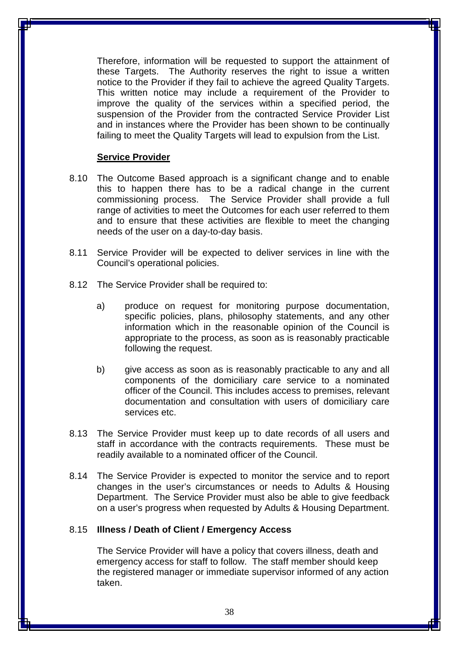Therefore, information will be requested to support the attainment of these Targets. The Authority reserves the right to issue a written notice to the Provider if they fail to achieve the agreed Quality Targets. This written notice may include a requirement of the Provider to improve the quality of the services within a specified period, the suspension of the Provider from the contracted Service Provider List and in instances where the Provider has been shown to be continually failing to meet the Quality Targets will lead to expulsion from the List.

#### **Service Provider**

- 8.10 The Outcome Based approach is a significant change and to enable this to happen there has to be a radical change in the current commissioning process. The Service Provider shall provide a full range of activities to meet the Outcomes for each user referred to them and to ensure that these activities are flexible to meet the changing needs of the user on a day-to-day basis.
- 8.11 Service Provider will be expected to deliver services in line with the Council's operational policies.
- 8.12 The Service Provider shall be required to:
	- a) produce on request for monitoring purpose documentation, specific policies, plans, philosophy statements, and any other information which in the reasonable opinion of the Council is appropriate to the process, as soon as is reasonably practicable following the request.
	- b) give access as soon as is reasonably practicable to any and all components of the domiciliary care service to a nominated officer of the Council. This includes access to premises, relevant documentation and consultation with users of domiciliary care services etc.
- 8.13 The Service Provider must keep up to date records of all users and staff in accordance with the contracts requirements. These must be readily available to a nominated officer of the Council.
- 8.14 The Service Provider is expected to monitor the service and to report changes in the user's circumstances or needs to Adults & Housing Department. The Service Provider must also be able to give feedback on a user's progress when requested by Adults & Housing Department.

#### 8.15 **Illness / Death of Client / Emergency Access**

The Service Provider will have a policy that covers illness, death and emergency access for staff to follow. The staff member should keep the registered manager or immediate supervisor informed of any action taken.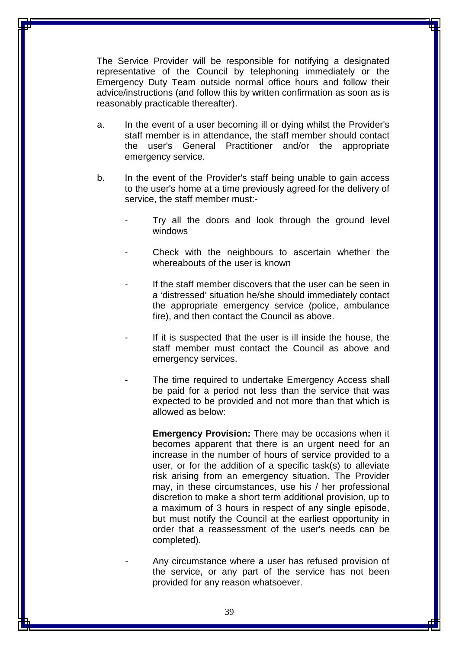The Service Provider will be responsible for notifying a designated representative of the Council by telephoning immediately or the Emergency Duty Team outside normal office hours and follow their advice/instructions (and follow this by written confirmation as soon as is reasonably practicable thereafter).

- a. In the event of a user becoming ill or dying whilst the Provider's staff member is in attendance, the staff member should contact the user's General Practitioner and/or the appropriate emergency service.
- b. In the event of the Provider's staff being unable to gain access to the user's home at a time previously agreed for the delivery of service, the staff member must:-
	- Try all the doors and look through the ground level windows
	- Check with the neighbours to ascertain whether the whereabouts of the user is known
	- If the staff member discovers that the user can be seen in a 'distressed' situation he/she should immediately contact the appropriate emergency service (police, ambulance fire), and then contact the Council as above.
	- If it is suspected that the user is ill inside the house, the staff member must contact the Council as above and emergency services.
	- The time required to undertake Emergency Access shall be paid for a period not less than the service that was expected to be provided and not more than that which is allowed as below:

**Emergency Provision:** There may be occasions when it becomes apparent that there is an urgent need for an increase in the number of hours of service provided to a user, or for the addition of a specific task(s) to alleviate risk arising from an emergency situation. The Provider may, in these circumstances, use his / her professional discretion to make a short term additional provision, up to a maximum of 3 hours in respect of any single episode, but must notify the Council at the earliest opportunity in order that a reassessment of the user's needs can be completed).

Any circumstance where a user has refused provision of the service, or any part of the service has not been provided for any reason whatsoever.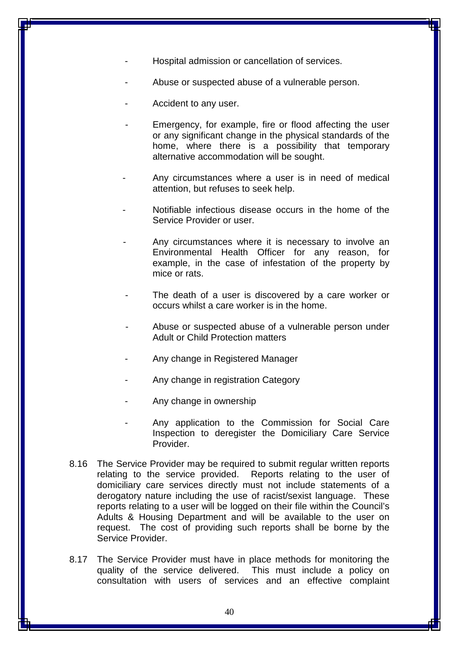- Hospital admission or cancellation of services.
- Abuse or suspected abuse of a vulnerable person.
- Accident to any user.
- Emergency, for example, fire or flood affecting the user or any significant change in the physical standards of the home, where there is a possibility that temporary alternative accommodation will be sought.
- Any circumstances where a user is in need of medical attention, but refuses to seek help.
- Notifiable infectious disease occurs in the home of the Service Provider or user.
- Any circumstances where it is necessary to involve an Environmental Health Officer for any reason, for example, in the case of infestation of the property by mice or rats.
- The death of a user is discovered by a care worker or occurs whilst a care worker is in the home.
- Abuse or suspected abuse of a vulnerable person under Adult or Child Protection matters
- Any change in Registered Manager
- Any change in registration Category
- Any change in ownership
- Any application to the Commission for Social Care Inspection to deregister the Domiciliary Care Service Provider.
- 8.16 The Service Provider may be required to submit regular written reports relating to the service provided. Reports relating to the user of domiciliary care services directly must not include statements of a derogatory nature including the use of racist/sexist language. These reports relating to a user will be logged on their file within the Council's Adults & Housing Department and will be available to the user on request. The cost of providing such reports shall be borne by the Service Provider.
- 8.17 The Service Provider must have in place methods for monitoring the quality of the service delivered. This must include a policy on consultation with users of services and an effective complaint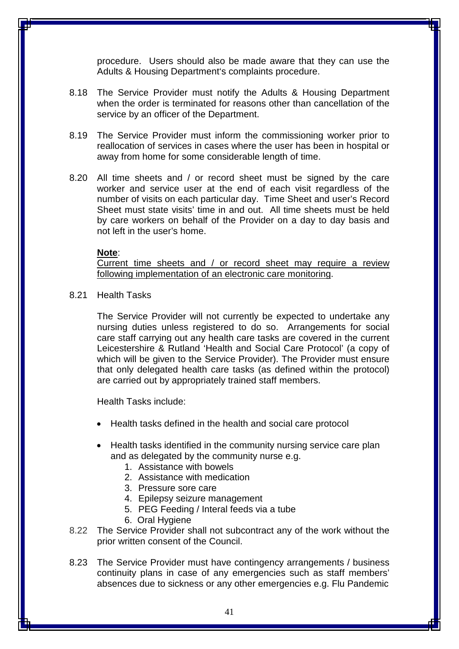procedure. Users should also be made aware that they can use the Adults & Housing Department's complaints procedure.

- 8.18 The Service Provider must notify the Adults & Housing Department when the order is terminated for reasons other than cancellation of the service by an officer of the Department.
- 8.19 The Service Provider must inform the commissioning worker prior to reallocation of services in cases where the user has been in hospital or away from home for some considerable length of time.
- 8.20 All time sheets and / or record sheet must be signed by the care worker and service user at the end of each visit regardless of the number of visits on each particular day. Time Sheet and user's Record Sheet must state visits' time in and out. All time sheets must be held by care workers on behalf of the Provider on a day to day basis and not left in the user's home.

#### **Note**:

Current time sheets and / or record sheet may require a review following implementation of an electronic care monitoring.

8.21 Health Tasks

The Service Provider will not currently be expected to undertake any nursing duties unless registered to do so. Arrangements for social care staff carrying out any health care tasks are covered in the current Leicestershire & Rutland 'Health and Social Care Protocol' (a copy of which will be given to the Service Provider). The Provider must ensure that only delegated health care tasks (as defined within the protocol) are carried out by appropriately trained staff members.

Health Tasks include:

- Health tasks defined in the health and social care protocol
- Health tasks identified in the community nursing service care plan and as delegated by the community nurse e.g.
	- 1. Assistance with bowels
	- 2. Assistance with medication
	- 3. Pressure sore care
	- 4. Epilepsy seizure management
	- 5. PEG Feeding / Interal feeds via a tube
	- 6. Oral Hygiene
- 8.22 The Service Provider shall not subcontract any of the work without the prior written consent of the Council.
- 8.23 The Service Provider must have contingency arrangements / business continuity plans in case of any emergencies such as staff members' absences due to sickness or any other emergencies e.g. Flu Pandemic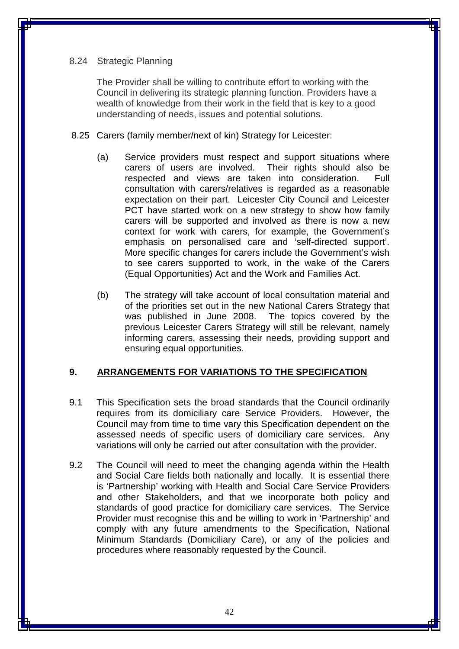#### 8.24 Strategic Planning

The Provider shall be willing to contribute effort to working with the Council in delivering its strategic planning function. Providers have a wealth of knowledge from their work in the field that is key to a good understanding of needs, issues and potential solutions.

- 8.25 Carers (family member/next of kin) Strategy for Leicester:
	- (a) Service providers must respect and support situations where carers of users are involved. Their rights should also be respected and views are taken into consideration. Full consultation with carers/relatives is regarded as a reasonable expectation on their part. Leicester City Council and Leicester PCT have started work on a new strategy to show how family carers will be supported and involved as there is now a new context for work with carers, for example, the Government's emphasis on personalised care and 'self-directed support'. More specific changes for carers include the Government's wish to see carers supported to work, in the wake of the Carers (Equal Opportunities) Act and the Work and Families Act.
	- (b) The strategy will take account of local consultation material and of the priorities set out in the new National Carers Strategy that was published in June 2008. The topics covered by the previous Leicester Carers Strategy will still be relevant, namely informing carers, assessing their needs, providing support and ensuring equal opportunities.

### **9. ARRANGEMENTS FOR VARIATIONS TO THE SPECIFICATION**

- 9.1 This Specification sets the broad standards that the Council ordinarily requires from its domiciliary care Service Providers. However, the Council may from time to time vary this Specification dependent on the assessed needs of specific users of domiciliary care services. Any variations will only be carried out after consultation with the provider.
- 9.2 The Council will need to meet the changing agenda within the Health and Social Care fields both nationally and locally. It is essential there is 'Partnership' working with Health and Social Care Service Providers and other Stakeholders, and that we incorporate both policy and standards of good practice for domiciliary care services. The Service Provider must recognise this and be willing to work in 'Partnership' and comply with any future amendments to the Specification, National Minimum Standards (Domiciliary Care), or any of the policies and procedures where reasonably requested by the Council.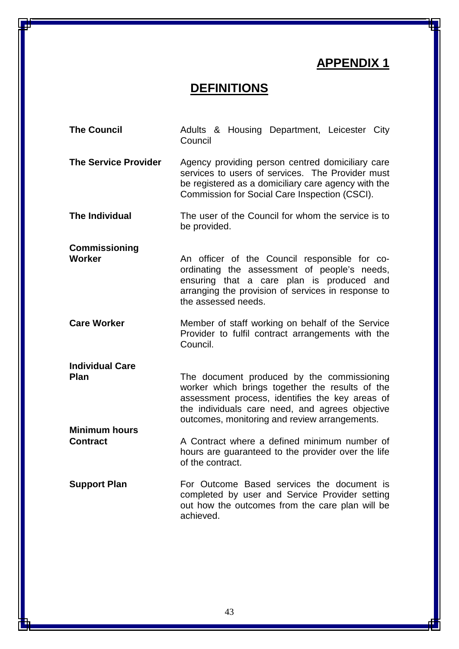## **APPENDIX 1**

## **DEFINITIONS**

| <b>The Council</b>                      | Adults & Housing Department, Leicester City<br>Council                                                                                                                                                                                               |
|-----------------------------------------|------------------------------------------------------------------------------------------------------------------------------------------------------------------------------------------------------------------------------------------------------|
| <b>The Service Provider</b>             | Agency providing person centred domiciliary care<br>services to users of services. The Provider must<br>be registered as a domiciliary care agency with the<br>Commission for Social Care Inspection (CSCI).                                         |
| <b>The Individual</b>                   | The user of the Council for whom the service is to<br>be provided.                                                                                                                                                                                   |
| <b>Commissioning</b><br><b>Worker</b>   | An officer of the Council responsible for co-<br>ordinating the assessment of people's needs,<br>ensuring that a care plan is produced and<br>arranging the provision of services in response to<br>the assessed needs.                              |
| <b>Care Worker</b>                      | Member of staff working on behalf of the Service<br>Provider to fulfil contract arrangements with the<br>Council.                                                                                                                                    |
| <b>Individual Care</b><br>Plan          | The document produced by the commissioning<br>worker which brings together the results of the<br>assessment process, identifies the key areas of<br>the individuals care need, and agrees objective<br>outcomes, monitoring and review arrangements. |
| <b>Minimum hours</b><br><b>Contract</b> | A Contract where a defined minimum number of<br>hours are guaranteed to the provider over the life<br>of the contract.                                                                                                                               |
| <b>Support Plan</b>                     | For Outcome Based services the document is<br>completed by user and Service Provider setting<br>out how the outcomes from the care plan will be<br>achieved.                                                                                         |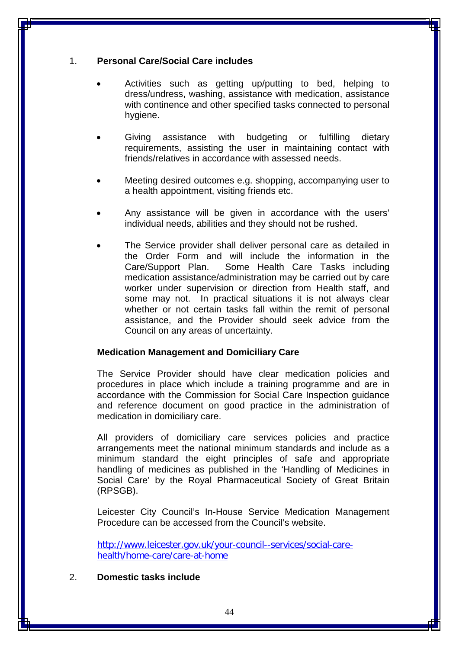#### 1. **Personal Care/Social Care includes**

- Activities such as getting up/putting to bed, helping to dress/undress, washing, assistance with medication, assistance with continence and other specified tasks connected to personal hygiene.
- Giving assistance with budgeting or fulfilling dietary requirements, assisting the user in maintaining contact with friends/relatives in accordance with assessed needs.
- Meeting desired outcomes e.g. shopping, accompanying user to a health appointment, visiting friends etc.
- Any assistance will be given in accordance with the users' individual needs, abilities and they should not be rushed.
- The Service provider shall deliver personal care as detailed in the Order Form and will include the information in the Care/Support Plan. Some Health Care Tasks including medication assistance/administration may be carried out by care worker under supervision or direction from Health staff, and some may not. In practical situations it is not always clear whether or not certain tasks fall within the remit of personal assistance, and the Provider should seek advice from the Council on any areas of uncertainty.

#### **Medication Management and Domiciliary Care**

The Service Provider should have clear medication policies and procedures in place which include a training programme and are in accordance with the Commission for Social Care Inspection guidance and reference document on good practice in the administration of medication in domiciliary care.

All providers of domiciliary care services policies and practice arrangements meet the national minimum standards and include as a minimum standard the eight principles of safe and appropriate handling of medicines as published in the 'Handling of Medicines in Social Care' by the Royal Pharmaceutical Society of Great Britain (RPSGB).

Leicester City Council's In-House Service Medication Management Procedure can be accessed from the Council's website.

[http://www.leicester.gov.uk/your-council--services/social-care](ttp://www.leicester.gov.uk/your-council--services/social-care-h)[he](ttp://www.leicester.gov.uk/your-council--services/social-care-h)alth/home-care/care-at-home

#### 2. **Domestic tasks include**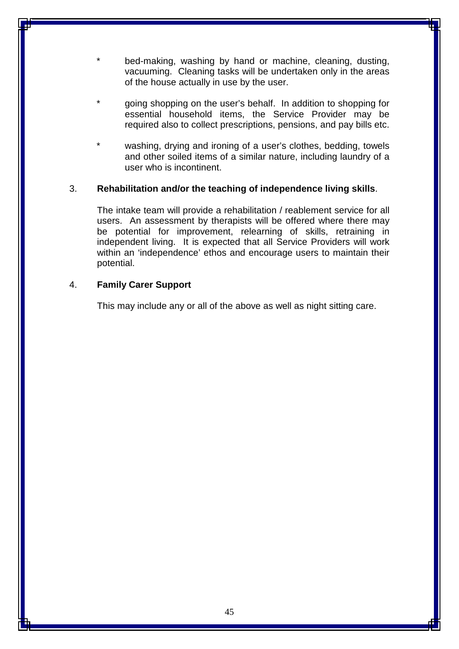- bed-making, washing by hand or machine, cleaning, dusting, vacuuming. Cleaning tasks will be undertaken only in the areas of the house actually in use by the user.
- going shopping on the user's behalf. In addition to shopping for essential household items, the Service Provider may be required also to collect prescriptions, pensions, and pay bills etc.
- washing, drying and ironing of a user's clothes, bedding, towels and other soiled items of a similar nature, including laundry of a user who is incontinent.

#### 3. **Rehabilitation and/or the teaching of independence living skills**.

The intake team will provide a rehabilitation / reablement service for all users. An assessment by therapists will be offered where there may be potential for improvement, relearning of skills, retraining in independent living. It is expected that all Service Providers will work within an 'independence' ethos and encourage users to maintain their potential.

#### 4. **Family Carer Support**

This may include any or all of the above as well as night sitting care.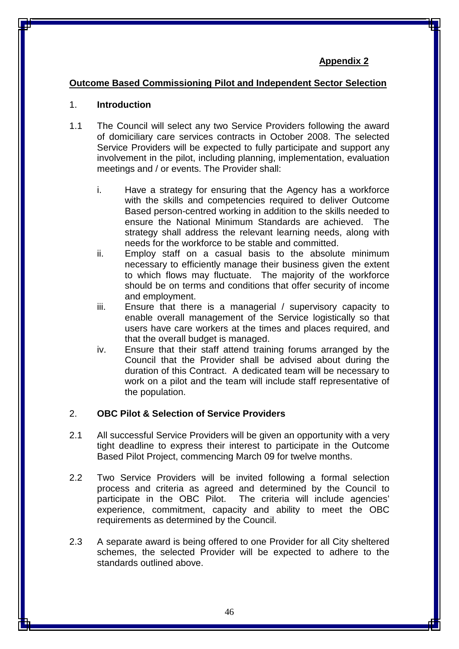### **Appendix 2**

### **Outcome Based Commissioning Pilot and Independent Sector Selection**

#### 1. **Introduction**

- 1.1 The Council will select any two Service Providers following the award of domiciliary care services contracts in October 2008. The selected Service Providers will be expected to fully participate and support any involvement in the pilot, including planning, implementation, evaluation meetings and / or events. The Provider shall:
	- i. Have a strategy for ensuring that the Agency has a workforce with the skills and competencies required to deliver Outcome Based person-centred working in addition to the skills needed to ensure the National Minimum Standards are achieved. The strategy shall address the relevant learning needs, along with needs for the workforce to be stable and committed.
	- ii. Employ staff on a casual basis to the absolute minimum necessary to efficiently manage their business given the extent to which flows may fluctuate. The majority of the workforce should be on terms and conditions that offer security of income and employment.
	- iii. Ensure that there is a managerial / supervisory capacity to enable overall management of the Service logistically so that users have care workers at the times and places required, and that the overall budget is managed.
	- iv. Ensure that their staff attend training forums arranged by the Council that the Provider shall be advised about during the duration of this Contract. A dedicated team will be necessary to work on a pilot and the team will include staff representative of the population.

#### 2. **OBC Pilot & Selection of Service Providers**

- 2.1 All successful Service Providers will be given an opportunity with a very tight deadline to express their interest to participate in the Outcome Based Pilot Project, commencing March 09 for twelve months.
- 2.2 Two Service Providers will be invited following a formal selection process and criteria as agreed and determined by the Council to participate in the OBC Pilot. The criteria will include agencies' experience, commitment, capacity and ability to meet the OBC requirements as determined by the Council.
- 2.3 A separate award is being offered to one Provider for all City sheltered schemes, the selected Provider will be expected to adhere to the standards outlined above.